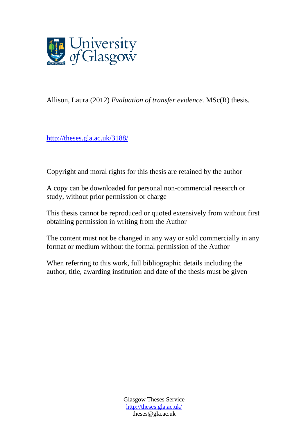

Allison, Laura (2012) *Evaluation of transfer evidence.* MSc(R) thesis.

http://theses.gla.ac.uk/3188/

Copyright and moral rights for this thesis are retained by the author

A copy can be downloaded for personal non-commercial research or study, without prior permission or charge

This thesis cannot be reproduced or quoted extensively from without first obtaining permission in writing from the Author

The content must not be changed in any way or sold commercially in any format or medium without the formal permission of the Author

When referring to this work, full bibliographic details including the author, title, awarding institution and date of the thesis must be given

> Glasgow Theses Service http://theses.gla.ac.uk/ theses@gla.ac.uk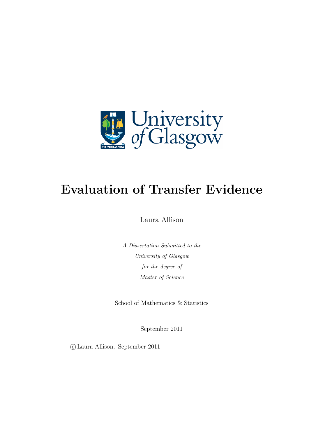

# **Evaluation of Transfer Evidence**

Laura Allison

*A Dissertation Submitted to the University of Glasgow for the degree of Master of Science*

School of Mathematics & Statistics

September 2011

*⃝*c Laura Allison, September 2011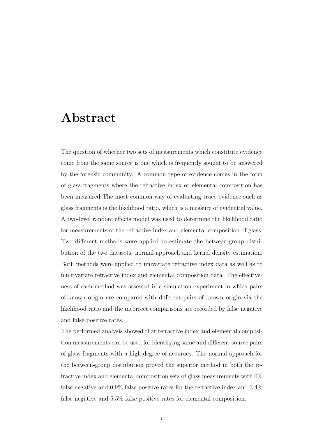## **Abstract**

The question of whether two sets of measurements which constitute evidence come from the same source is one which is frequently sought to be answered by the forensic community. A common type of evidence comes in the form of glass fragments where the refractive index or elemental composition has been measured The most common way of evaluating trace evidence such as glass fragments is the likelihood ratio, which is a measure of evidential value. A two-level random effects model was used to determine the likelihood ratio for measurements of the refractive index and elemental composition of glass. Two different methods were applied to estimate the between-group distribution of the two datasets; normal approach and kernel density estimation. Both methods were applied to univariate refractive index data as well as to multivariate refractive index and elemental composition data. The effectiveness of each method was assessed in a simulation experiment in which pairs of known origin are compared with different pairs of known origin via the likelihood ratio and the incorrect comparisons are recorded by false negative and false positive rates.

The performed analysis showed that refractive index and elemental composition measurements can be used for identifying same and different-source pairs of glass fragments with a high degree of accuracy. The normal approach for the between-group distribution proved the superior method in both the refractive index and elemental composition sets of glass measurements with 0% false negative and 0.9% false positive rates for the refractive index and 3.4% false negative and 5.5% false positive rates for elemental composition.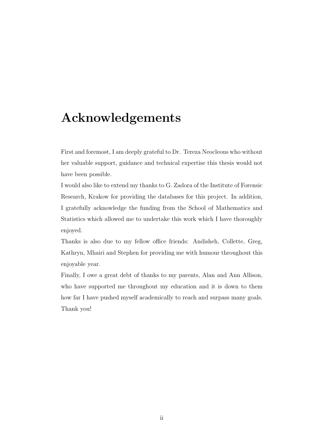## **Acknowledgements**

First and foremost, I am deeply grateful to Dr. Tereza Neocleous who without her valuable support, guidance and technical expertise this thesis would not have been possible.

I would also like to extend my thanks to G. Zadora of the Institute of Forensic Research, Krakow for providing the databases for this project. In addition, I gratefully acknowledge the funding from the School of Mathematics and Statistics which allowed me to undertake this work which I have thoroughly enjoyed.

Thanks is also due to my fellow office friends: Andisheh, Collette, Greg, Kathryn, Mhairi and Stephen for providing me with humour throughout this enjoyable year.

Finally, I owe a great debt of thanks to my parents, Alan and Ann Allison, who have supported me throughout my education and it is down to them how far I have pushed myself academically to reach and surpass many goals. Thank you!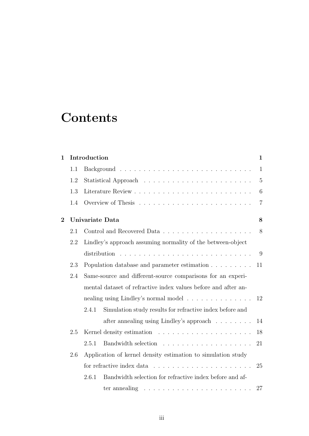# **Contents**

| $\mathbf 1$    | Introduction |                                                                |                                                                  | $\mathbf{1}$   |
|----------------|--------------|----------------------------------------------------------------|------------------------------------------------------------------|----------------|
|                | 1.1          |                                                                |                                                                  | $\mathbf{1}$   |
|                | 1.2          |                                                                |                                                                  | 5              |
|                | 1.3          |                                                                |                                                                  | 6              |
|                | 1.4          |                                                                |                                                                  | $\overline{7}$ |
| $\overline{2}$ |              |                                                                | Univariate Data                                                  | 8              |
|                | 2.1          |                                                                |                                                                  | 8              |
|                | 2.2          | Lindley's approach assuming normality of the between-object    |                                                                  |                |
|                |              |                                                                |                                                                  | 9              |
| 2.3            |              | Population database and parameter estimation                   | 11                                                               |                |
|                | 2.4          | Same-source and different-source comparisons for an experi-    |                                                                  |                |
|                |              | mental dataset of refractive index values before and after an- |                                                                  |                |
|                |              | nealing using Lindley's normal model                           |                                                                  |                |
|                |              | 2.4.1                                                          | Simulation study results for refractive index before and         |                |
|                |              |                                                                | after annealing using Lindley's approach                         | 14             |
|                | 2.5          |                                                                |                                                                  | 18             |
|                |              | 2.5.1                                                          |                                                                  | 21             |
|                | 2.6          | Application of kernel density estimation to simulation study   |                                                                  |                |
|                |              |                                                                |                                                                  |                |
|                |              | 2.6.1                                                          | Bandwidth selection for refractive index before and af-          |                |
|                |              |                                                                | ter annealing $\ldots \ldots \ldots \ldots \ldots \ldots \ldots$ | 27             |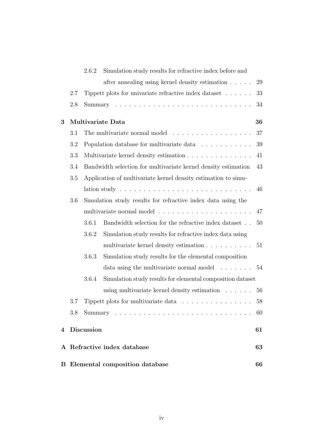|     |     |              | <b>B</b> Elemental composition database                                              | 66 |
|-----|-----|--------------|--------------------------------------------------------------------------------------|----|
|     |     |              | A Refractive index database                                                          | 63 |
|     |     | 4 Discussion |                                                                                      | 61 |
|     | 3.8 |              |                                                                                      | 60 |
|     | 3.7 |              | Tippett plots for multivariate data                                                  | 58 |
|     |     |              | using multivariate kernel density estimation $\ldots \ldots$                         | 56 |
|     |     | 3.6.4        | Simulation study results for elemental composition dataset                           |    |
|     |     |              | data using the multivariate normal model                                             | 54 |
|     |     | 3.6.3        | Simulation study results for the elemental composition                               |    |
|     |     |              | multivariate kernel density estimation                                               | 51 |
|     |     | 3.6.2        | Simulation study results for refractive index data using                             |    |
|     |     | 3.6.1        | Bandwidth selection for the refractive index dataset                                 | 50 |
|     |     |              | multivariate normal model $\ldots \ldots \ldots \ldots \ldots \ldots \ldots$         | 47 |
| 3.6 |     |              | Simulation study results for refractive index data using the                         |    |
|     |     |              | lation study $\ldots \ldots \ldots \ldots \ldots \ldots \ldots \ldots \ldots \ldots$ | 46 |
|     | 3.5 |              | Application of multivariate kernel density estimation to simu-                       |    |
|     | 3.4 |              | Bandwidth selection for multivariate kernel density estimation                       | 43 |
|     | 3.3 |              | Multivariate kernel density estimation                                               | 41 |
|     | 3.2 |              | Population database for multivariate data                                            | 39 |
|     | 3.1 |              | The multivariate normal model                                                        | 37 |
| 3   |     |              | Multivariate Data                                                                    | 36 |
|     | 2.8 |              |                                                                                      | 34 |
|     | 2.7 |              | Tippett plots for univariate refractive index dataset $\dots \dots$                  | 33 |
|     |     |              | after annealing using kernel density estimation                                      | 29 |
|     |     | 2.6.2        | Simulation study results for refractive index before and                             |    |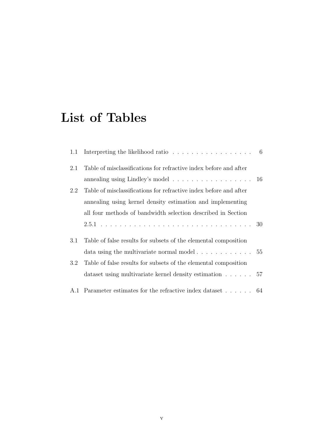# **List of Tables**

| 1.1     | Interpreting the likelihood ratio $\ldots \ldots \ldots \ldots \ldots \ldots$ 6 |    |
|---------|---------------------------------------------------------------------------------|----|
| 2.1     | Table of misclassifications for refractive index before and after               |    |
|         | annealing using Lindley's model $\ldots \ldots \ldots \ldots \ldots \ldots 16$  |    |
| 2.2     | Table of misclassifications for refractive index before and after               |    |
|         | annealing using kernel density estimation and implementing                      |    |
|         | all four methods of bandwidth selection described in Section                    |    |
|         |                                                                                 | 30 |
| 3.1     | Table of false results for subsets of the elemental composition                 |    |
|         |                                                                                 |    |
| $3.2\,$ | Table of false results for subsets of the elemental composition                 |    |
|         | dataset using multivariate kernel density estimation $\ldots$ 57                |    |
|         | A.1 Parameter estimates for the refractive index dataset 64                     |    |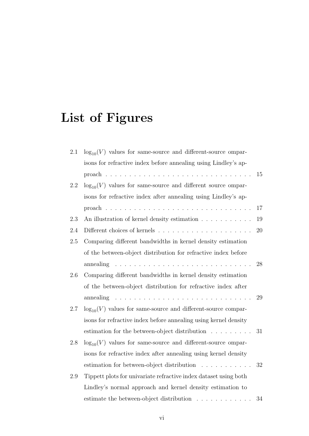# **List of Figures**

| 2.1     | $log_{10}(V)$ values for same-source and different-source ompar-                         |    |
|---------|------------------------------------------------------------------------------------------|----|
|         | isons for refractive index before annealing using Lindley's ap-                          |    |
|         |                                                                                          | 15 |
| 2.2     | $log_{10}(V)$ values for same-source and different source ompar-                         |    |
|         | isons for refractive index after annealing using Lindley's ap-                           |    |
|         |                                                                                          | 17 |
| 2.3     | An illustration of kernel density estimation                                             | 19 |
| 2.4     |                                                                                          | 20 |
| 2.5     | Comparing different bandwidths in kernel density estimation                              |    |
|         | of the between-object distribution for refractive index before                           |    |
|         | annealing $\ldots \ldots \ldots \ldots \ldots \ldots \ldots \ldots \ldots \ldots$        | 28 |
| $2.6\,$ | Comparing different bandwidths in kernel density estimation                              |    |
|         | of the between-object distribution for refractive index after                            |    |
|         | annealing $\ldots \ldots \ldots \ldots \ldots \ldots \ldots \ldots \ldots \ldots \ldots$ | 29 |
| 2.7     | $log_{10}(V)$ values for same-source and different-source compar-                        |    |
|         | isons for refractive index before annealing using kernel density                         |    |
|         | estimation for the between-object distribution                                           | 31 |
| 2.8     | $log_{10}(V)$ values for same-source and different-source ompar-                         |    |
|         | isons for refractive index after annealing using kernel density                          |    |
|         | estimation for between-object distribution                                               | 32 |
| 2.9     | Tippett plots for univariate refractive index dataset using both                         |    |
|         | Lindley's normal approach and kernel density estimation to                               |    |
|         | estimate the between-object distribution $\ldots \ldots \ldots \ldots$                   | 34 |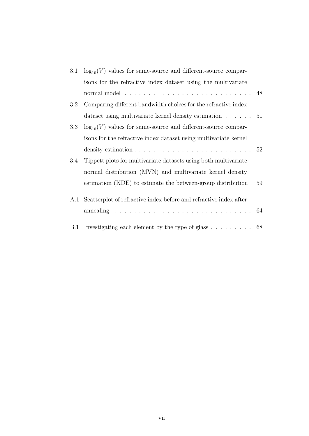| 3.1 | $\log_{10}(V)$ values for same-source and different-source compar-                   |    |
|-----|--------------------------------------------------------------------------------------|----|
|     | isons for the refractive index dataset using the multivariate                        |    |
|     | normal model $\ldots \ldots \ldots \ldots \ldots \ldots \ldots \ldots \ldots \ldots$ |    |
| 3.2 | Comparing different bandwidth choices for the refractive index                       |    |
|     | dataset using multivariate kernel density estimation $\ldots$ 51                     |    |
| 3.3 | $log_{10}(V)$ values for same-source and different-source compar-                    |    |
|     | isons for the refractive index dataset using multivariate kernel                     |    |
|     | density estimation $\ldots \ldots \ldots \ldots \ldots \ldots \ldots \ldots 52$      |    |
| 3.4 | Tippett plots for multivariate datasets using both multivariate                      |    |
|     | normal distribution (MVN) and multivariate kernel density                            |    |
|     | estimation (KDE) to estimate the between-group distribution                          | 59 |
|     | A.1 Scatterplot of refractive index before and refractive index after                |    |
|     |                                                                                      |    |
| B.1 | Investigating each element by the type of glass $\ldots \ldots \ldots$ 68            |    |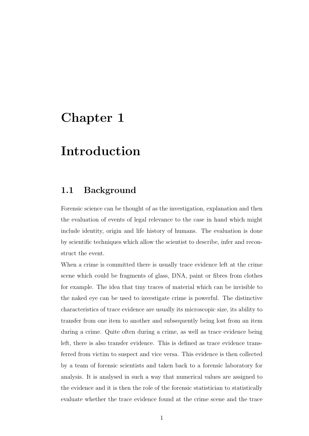## **Chapter 1**

## **Introduction**

#### **1.1 Background**

Forensic science can be thought of as the investigation, explanation and then the evaluation of events of legal relevance to the case in hand which might include identity, origin and life history of humans. The evaluation is done by scientific techniques which allow the scientist to describe, infer and reconstruct the event.

When a crime is committed there is usually trace evidence left at the crime scene which could be fragments of glass, DNA, paint or fibres from clothes for example. The idea that tiny traces of material which can be invisible to the naked eye can be used to investigate crime is powerful. The distinctive characteristics of trace evidence are usually its microscopic size, its ability to transfer from one item to another and subsequently being lost from an item during a crime. Quite often during a crime, as well as trace evidence being left, there is also transfer evidence. This is defined as trace evidence transferred from victim to suspect and vice versa. This evidence is then collected by a team of forensic scientists and taken back to a forensic laboratory for analysis. It is analysed in such a way that numerical values are assigned to the evidence and it is then the role of the forensic statistician to statistically evaluate whether the trace evidence found at the crime scene and the trace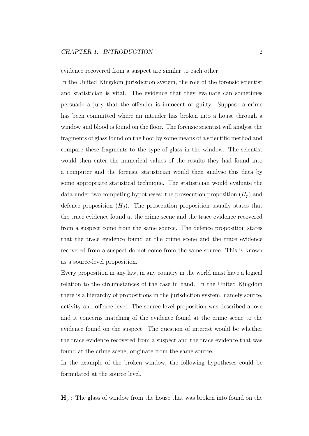evidence recovered from a suspect are similar to each other.

In the United Kingdom jurisdiction system, the role of the forensic scientist and statistician is vital. The evidence that they evaluate can sometimes persuade a jury that the offender is innocent or guilty. Suppose a crime has been committed where an intruder has broken into a house through a window and blood is found on the floor. The forensic scientist will analyse the fragments of glass found on the floor by some means of a scientific method and compare these fragments to the type of glass in the window. The scientist would then enter the numerical values of the results they had found into a computer and the forensic statistician would then analyse this data by some appropriate statistical technique. The statistician would evaluate the data under two competing hypotheses: the prosecution proposition  $(H_p)$  and defence proposition  $(H_d)$ . The prosecution proposition usually states that the trace evidence found at the crime scene and the trace evidence recovered from a suspect come from the same source. The defence proposition states that the trace evidence found at the crime scene and the trace evidence recovered from a suspect do not come from the same source. This is known as a source-level proposition.

Every proposition in any law, in any country in the world must have a logical relation to the circumstances of the case in hand. In the United Kingdom there is a hierarchy of propositions in the jurisdiction system, namely source, activity and offence level. The source level proposition was described above and it concerns matching of the evidence found at the crime scene to the evidence found on the suspect. The question of interest would be whether the trace evidence recovered from a suspect and the trace evidence that was found at the crime scene, originate from the same source.

In the example of the broken window, the following hypotheses could be formulated at the source level.

 $\mathbf{H}_p$ : The glass of window from the house that was broken into found on the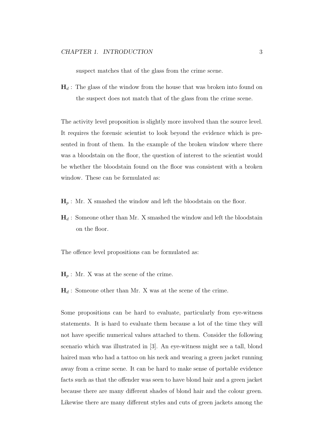suspect matches that of the glass from the crime scene.

 $\mathbf{H}_d$ : The glass of the window from the house that was broken into found on the suspect does not match that of the glass from the crime scene.

The activity level proposition is slightly more involved than the source level. It requires the forensic scientist to look beyond the evidence which is presented in front of them. In the example of the broken window where there was a bloodstain on the floor, the question of interest to the scientist would be whether the bloodstain found on the floor was consistent with a broken window. These can be formulated as:

- $\mathbf{H}_p$ : Mr. X smashed the window and left the bloodstain on the floor.
- $\mathbf{H}_d$  : Someone other than Mr. X smashed the window and left the bloodstain on the floor.

The offence level propositions can be formulated as:

- $\mathbf{H}_p$ : Mr. X was at the scene of the crime.
- $\mathbf{H}_d$ : Someone other than Mr. X was at the scene of the crime.

Some propositions can be hard to evaluate, particularly from eye-witness statements. It is hard to evaluate them because a lot of the time they will not have specific numerical values attached to them. Consider the following scenario which was illustrated in [3]. An eye-witness might see a tall, blond haired man who had a tattoo on his neck and wearing a green jacket running away from a crime scene. It can be hard to make sense of portable evidence facts such as that the offender was seen to have blond hair and a green jacket because there are many different shades of blond hair and the colour green. Likewise there are many different styles and cuts of green jackets among the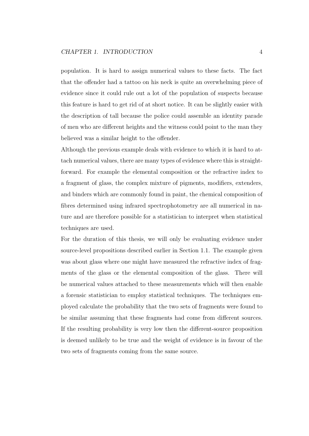population. It is hard to assign numerical values to these facts. The fact that the offender had a tattoo on his neck is quite an overwhelming piece of evidence since it could rule out a lot of the population of suspects because this feature is hard to get rid of at short notice. It can be slightly easier with the description of tall because the police could assemble an identity parade of men who are different heights and the witness could point to the man they believed was a similar height to the offender.

Although the previous example deals with evidence to which it is hard to attach numerical values, there are many types of evidence where this is straightforward. For example the elemental composition or the refractive index to a fragment of glass, the complex mixture of pigments, modifiers, extenders, and binders which are commonly found in paint, the chemical composition of fibres determined using infrared spectrophotometry are all numerical in nature and are therefore possible for a statistician to interpret when statistical techniques are used.

For the duration of this thesis, we will only be evaluating evidence under source-level propositions described earlier in Section 1.1. The example given was about glass where one might have measured the refractive index of fragments of the glass or the elemental composition of the glass. There will be numerical values attached to these measurements which will then enable a forensic statistician to employ statistical techniques. The techniques employed calculate the probability that the two sets of fragments were found to be similar assuming that these fragments had come from different sources. If the resulting probability is very low then the different-source proposition is deemed unlikely to be true and the weight of evidence is in favour of the two sets of fragments coming from the same source.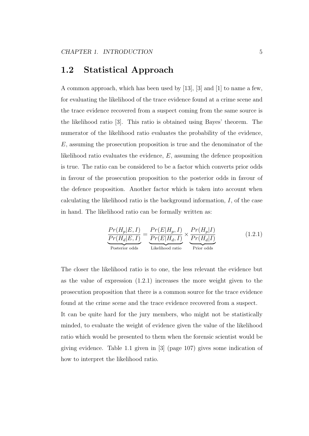#### **1.2 Statistical Approach**

A common approach, which has been used by [13], [3] and [1] to name a few, for evaluating the likelihood of the trace evidence found at a crime scene and the trace evidence recovered from a suspect coming from the same source is the likelihood ratio [3]. This ratio is obtained using Bayes' theorem. The numerator of the likelihood ratio evaluates the probability of the evidence, *E*, assuming the prosecution proposition is true and the denominator of the likelihood ratio evaluates the evidence, *E*, assuming the defence proposition is true. The ratio can be considered to be a factor which converts prior odds in favour of the prosecution proposition to the posterior odds in favour of the defence proposition. Another factor which is taken into account when calculating the likelihood ratio is the background information, *I*, of the case in hand. The likelihood ratio can be formally written as:

$$
\frac{Pr(H_p|E, I)}{Pr(H_d|E, I)} = \frac{Pr(E|H_p, I)}{Pr(E|H_d, I)} \times \frac{Pr(H_p|I)}{Pr(H_d|I)}
$$
(1.2.1)  
Posterior odds  
Likelihood ratio  
Prior odds

The closer the likelihood ratio is to one, the less relevant the evidence but as the value of expression (1.2.1) increases the more weight given to the prosecution proposition that there is a common source for the trace evidence found at the crime scene and the trace evidence recovered from a suspect. It can be quite hard for the jury members, who might not be statistically minded, to evaluate the weight of evidence given the value of the likelihood ratio which would be presented to them when the forensic scientist would be giving evidence. Table 1.1 given in [3] (page 107) gives some indication of how to interpret the likelihood ratio.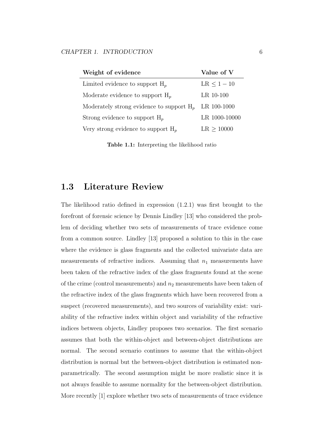| Weight of evidence                          | Value of V    |
|---------------------------------------------|---------------|
| Limited evidence to support $H_p$           | $LR < 1 - 10$ |
| Moderate evidence to support $H_p$          | $LR$ 10-100   |
| Moderately strong evidence to support $H_n$ | LR 100-1000   |
| Strong evidence to support $H_p$            | LR 1000-10000 |
| Very strong evidence to support $H_p$       | LR > 10000    |

**Table 1.1:** Interpreting the likelihood ratio

#### **1.3 Literature Review**

The likelihood ratio defined in expression  $(1.2.1)$  was first brought to the forefront of forensic science by Dennis Lindley [13] who considered the problem of deciding whether two sets of measurements of trace evidence come from a common source. Lindley [13] proposed a solution to this in the case where the evidence is glass fragments and the collected univariate data are measurements of refractive indices. Assuming that  $n_1$  measurements have been taken of the refractive index of the glass fragments found at the scene of the crime (control measurements) and *n*<sup>2</sup> measurements have been taken of the refractive index of the glass fragments which have been recovered from a suspect (recovered measurements), and two sources of variability exist: variability of the refractive index within object and variability of the refractive indices between objects, Lindley proposes two scenarios. The first scenario assumes that both the within-object and between-object distributions are normal. The second scenario continues to assume that the within-object distribution is normal but the between-object distribution is estimated nonparametrically. The second assumption might be more realistic since it is not always feasible to assume normality for the between-object distribution. More recently [1] explore whether two sets of measurements of trace evidence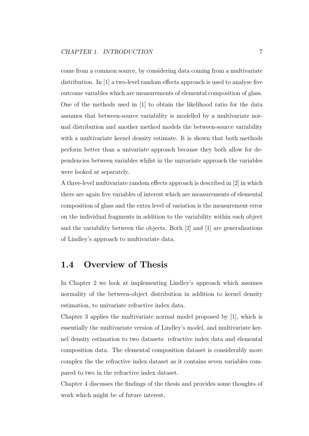come from a common source, by considering data coming from a multivariate distribution. In [1] a two-level random effects approach is used to analyse five outcome variables which are measurements of elemental composition of glass. One of the methods used in [1] to obtain the likelihood ratio for the data assumes that between-source variability is modelled by a multivariate normal distribution and another method models the between-source variability with a multivariate kernel density estimate. It is shown that both methods perform better than a univariate approach because they both allow for dependencies between variables whilst in the univariate approach the variables were looked at separately.

A three-level multivariate random effects approach is described in [2] in which there are again five variables of interest which are measurements of elemental composition of glass and the extra level of variation is the measurement error on the individual fragments in addition to the variability within each object and the variability between the objects. Both [2] and [1] are generalisations of Lindley's approach to multivariate data.

#### **1.4 Overview of Thesis**

In Chapter 2 we look at implementing Lindley's approach which assumes normality of the between-object distribution in addition to kernel density estimation, to univariate refractive index data.

Chapter 3 applies the multivariate normal model proposed by [1], which is essentially the multivariate version of Lindley's model, and multivariate kernel density estimation to two datasets: refractive index data and elemental composition data. The elemental composition dataset is considerably more complex the the refractive index dataset as it contains seven variables compared to two in the refractive index dataset.

Chapter 4 discusses the findings of the thesis and provides some thoughts of work which might be of future interest.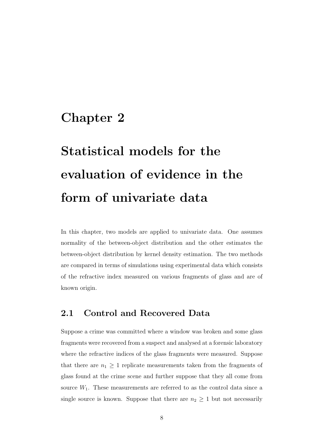## **Chapter 2**

# **Statistical models for the evaluation of evidence in the form of univariate data**

In this chapter, two models are applied to univariate data. One assumes normality of the between-object distribution and the other estimates the between-object distribution by kernel density estimation. The two methods are compared in terms of simulations using experimental data which consists of the refractive index measured on various fragments of glass and are of known origin.

#### **2.1 Control and Recovered Data**

Suppose a crime was committed where a window was broken and some glass fragments were recovered from a suspect and analysed at a forensic laboratory where the refractive indices of the glass fragments were measured. Suppose that there are  $n_1 \geq 1$  replicate measurements taken from the fragments of glass found at the crime scene and further suppose that they all come from source  $W_1$ . These measurements are referred to as the control data since a single source is known. Suppose that there are  $n_2 \geq 1$  but not necessarily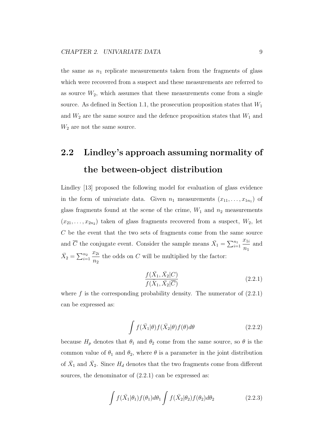the same as  $n_1$  replicate measurements taken from the fragments of glass which were recovered from a suspect and these measurements are referred to as source  $W_2$ , which assumes that these measurements come from a single source. As defined in Section 1.1, the prosecution proposition states that *W*<sup>1</sup> and  $W_2$  are the same source and the defence proposition states that  $W_1$  and *W*<sup>2</sup> are not the same source.

## **2.2 Lindley's approach assuming normality of the between-object distribution**

Lindley [13] proposed the following model for evaluation of glass evidence in the form of univariate data. Given  $n_1$  measurements  $(x_{11}, \ldots, x_{1n_1})$  of glass fragments found at the scene of the crime,  $W_1$  and  $n_2$  measurements  $(x_{21},...,x_{2n_2})$  taken of glass fragments recovered from a suspect,  $W_2$ , let *C* be the event that the two sets of fragments come from the same source and  $\overline{C}$  the conjugate event. Consider the sample means  $\overline{X}_1 = \sum_{i=1}^{n_1}$ *x*1*<sup>i</sup> n*1 and  $\bar{X}_2 = \sum_{i=1}^{n_2}$ *x*2*<sup>i</sup> n*2 the odds on *C* will be multiplied by the factor:

$$
\frac{f(\bar{X}_1, \bar{X}_2|C)}{f(\bar{X}_1, \bar{X}_2|\overline{C})}
$$
\n(2.2.1)

where  $f$  is the corresponding probability density. The numerator of  $(2.2.1)$ can be expressed as:

$$
\int f(\bar{X}_1|\theta) f(\bar{X}_2|\theta) f(\theta) d\theta \qquad (2.2.2)
$$

because  $H_p$  denotes that  $\theta_1$  and  $\theta_2$  come from the same source, so  $\theta$  is the common value of  $\theta_1$  and  $\theta_2$ , where  $\theta$  is a parameter in the joint distribution of  $\bar{X}_1$  and  $\bar{X}_2$ . Since  $H_d$  denotes that the two fragments come from different sources, the denominator of  $(2.2.1)$  can be expressed as:

$$
\int f(\bar{X}_1|\theta_1) f(\theta_1) d\theta_1 \int f(\bar{X}_2|\theta_2) f(\theta_2) d\theta_2 \tag{2.2.3}
$$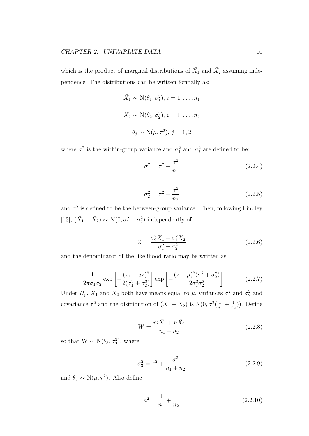which is the product of marginal distributions of  $\bar{X}_1$  and  $\bar{X}_2$  assuming independence. The distributions can be written formally as:

$$
\bar{X}_1 \sim \mathcal{N}(\theta_1, \sigma_1^2), i = 1, \dots, n_1
$$
  

$$
\bar{X}_2 \sim \mathcal{N}(\theta_2, \sigma_2^2), i = 1, \dots, n_2
$$
  

$$
\theta_j \sim \mathcal{N}(\mu, \tau^2), j = 1, 2
$$

where  $\sigma^2$  is the within-group variance and  $\sigma_1^2$  and  $\sigma_2^2$  are defined to be:

$$
\sigma_1^2 = \tau^2 + \frac{\sigma^2}{n_1} \tag{2.2.4}
$$

$$
\sigma_2^2 = \tau^2 + \frac{\sigma^2}{n_2} \tag{2.2.5}
$$

and  $\tau^2$  is defined to be the between-group variance. Then, following Lindley [13],  $(\bar{X}_1 - \bar{X}_2) \sim N(0, \sigma_1^2 + \sigma_2^2)$  independently of

$$
Z = \frac{\sigma_2^2 \bar{X}_1 + \sigma_1^2 \bar{X}_2}{\sigma_1^2 + \sigma_2^2}
$$
 (2.2.6)

and the denominator of the likelihood ratio may be written as:

$$
\frac{1}{2\pi\sigma_1\sigma_2} \exp\left[-\frac{(\bar{x_1} - \bar{x_2})^2}{2(\sigma_1^2 + \sigma_2^2)}\right] \exp\left[-\frac{(z - \mu)^2(\sigma_1^2 + \sigma_2^2)}{2\sigma_1^2\sigma_2^2}\right] \tag{2.2.7}
$$

Under  $H_p$ ,  $\bar{X}_1$  and  $\bar{X}_2$  both have means equal to  $\mu$ , variances  $\sigma_1^2$  and  $\sigma_2^2$  and covariance  $\tau^2$  and the distribution of  $(\bar{X}_1 - \bar{X}_2)$  is  $N(0, \sigma^2(\frac{1}{n}))$  $\frac{1}{n_1} + \frac{1}{n_1}$  $(\frac{1}{n_2})$ ). Define

$$
W = \frac{m\bar{X}_1 + n\bar{X}_2}{n_1 + n_2} \tag{2.2.8}
$$

so that  $W \sim N(\theta_3, \sigma_3^2)$ , where

$$
\sigma_3^2 = \tau^2 + \frac{\sigma^2}{n_1 + n_2} \tag{2.2.9}
$$

and  $\theta_3 \sim N(\mu, \tau^2)$ . Also define

$$
a^2 = \frac{1}{n_1} + \frac{1}{n_2} \tag{2.2.10}
$$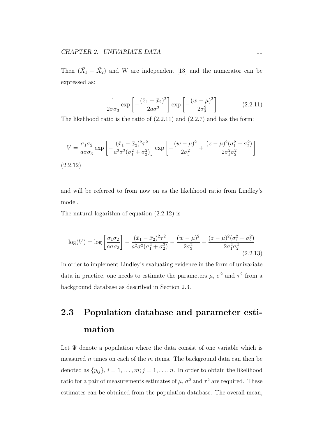Then  $(\bar{X}_1 - \bar{X}_2)$  and W are independent [13] and the numerator can be expressed as:

$$
\frac{1}{2\sigma\sigma_3} \exp\left[-\frac{(\bar{x}_1 - \bar{x}_2)^2}{2a\sigma^2}\right] \exp\left[-\frac{(w-\mu)^2}{2\sigma_3^2}\right] \tag{2.2.11}
$$

The likelihood ratio is the ratio of  $(2.2.11)$  and  $(2.2.7)$  and has the form:

$$
V = \frac{\sigma_1 \sigma_2}{a \sigma \sigma_3} \exp\left[-\frac{(\bar{x}_1 - \bar{x}_2)^2 \tau^2}{a^2 \sigma^2 (\sigma_1^2 + \sigma_2^2)}\right] \exp\left[-\frac{(w - \mu)^2}{2\sigma_3^2} + \frac{(z - \mu)^2 (\sigma_1^2 + \sigma_2^2)}{2\sigma_1^2 \sigma_2^2}\right]
$$
\n(2.2.12)

and will be referred to from now on as the likelihood ratio from Lindley's model.

The natural logarithm of equation (2.2.12) is

$$
\log(V) = \log\left[\frac{\sigma_1 \sigma_2}{a \sigma \sigma_3}\right] - \frac{(\bar{x}_1 - \bar{x}_2)^2 \tau^2}{a^2 \sigma^2 (\sigma_1^2 + \sigma_2^2)} - \frac{(w - \mu)^2}{2\sigma_3^2} + \frac{(z - \mu)^2 (\sigma_1^2 + \sigma_2^2)}{2\sigma_1^2 \sigma_2^2}
$$
(2.2.13)

In order to implement Lindley's evaluating evidence in the form of univariate data in practice, one needs to estimate the parameters  $\mu$ ,  $\sigma^2$  and  $\tau^2$  from a background database as described in Section 2.3.

## **2.3 Population database and parameter estimation**

Let  $\Psi$  denote a population where the data consist of one variable which is measured *n* times on each of the *m* items. The background data can then be denoted as  $\{y_{ij}\}, i = 1, \ldots, m; j = 1, \ldots, n$ . In order to obtain the likelihood ratio for a pair of measurements estimates of  $\mu$ ,  $\sigma^2$  and  $\tau^2$  are required. These estimates can be obtained from the population database. The overall mean,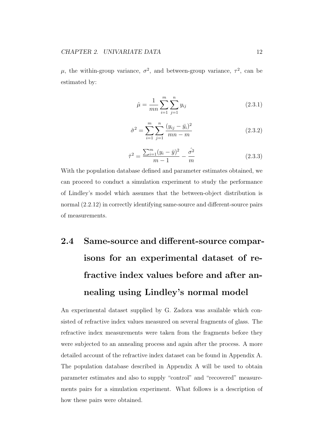$\mu$ , the within-group variance,  $\sigma^2$ , and between-group variance,  $\tau^2$ , can be estimated by:

$$
\hat{\mu} = \frac{1}{mn} \sum_{i=1}^{m} \sum_{j=1}^{n} y_{ij}
$$
\n(2.3.1)

$$
\hat{\sigma}^2 = \sum_{i=1}^m \sum_{j=1}^n \frac{(y_{ij} - \bar{y}_i)^2}{mn - m}
$$
\n(2.3.2)

$$
\hat{\tau}^2 = \frac{\sum_{i=1}^m (y_i - \bar{y})^2}{m - 1} - \frac{\hat{\sigma}^2}{m}
$$
\n(2.3.3)

With the population database defined and parameter estimates obtained, we can proceed to conduct a simulation experiment to study the performance of Lindley's model which assumes that the between-object distribution is normal (2.2.12) in correctly identifying same-source and different-source pairs of measurements.

# **2.4 Same-source and different-source comparisons for an experimental dataset of refractive index values before and after annealing using Lindley's normal model**

An experimental dataset supplied by G. Zadora was available which consisted of refractive index values measured on several fragments of glass. The refractive index measurements were taken from the fragments before they were subjected to an annealing process and again after the process. A more detailed account of the refractive index dataset can be found in Appendix A. The population database described in Appendix A will be used to obtain parameter estimates and also to supply "control" and "recovered" measurements pairs for a simulation experiment. What follows is a description of how these pairs were obtained.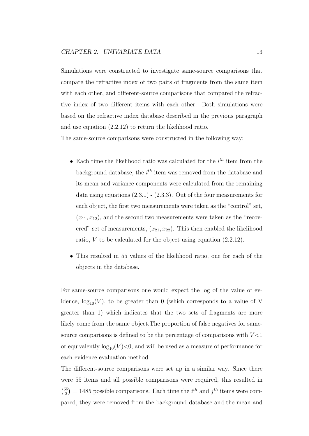Simulations were constructed to investigate same-source comparisons that compare the refractive index of two pairs of fragments from the same item with each other, and different-source comparisons that compared the refractive index of two different items with each other. Both simulations were based on the refractive index database described in the previous paragraph and use equation (2.2.12) to return the likelihood ratio.

The same-source comparisons were constructed in the following way:

- *•* Each time the likelihood ratio was calculated for the *i th* item from the background database, the *i th* item was removed from the database and its mean and variance components were calculated from the remaining data using equations  $(2.3.1)$  -  $(2.3.3)$ . Out of the four measurements for each object, the first two measurements were taken as the "control" set,  $(x_{11}, x_{12})$ , and the second two measurements were taken as the "recovered" set of measurements,  $(x_{21}, x_{22})$ . This then enabled the likelihood ratio, *V* to be calculated for the object using equation (2.2.12).
- *•* This resulted in 55 values of the likelihood ratio, one for each of the objects in the database.

For same-source comparisons one would expect the log of the value of evidence,  $log_{10}(V)$ , to be greater than 0 (which corresponds to a value of V greater than 1) which indicates that the two sets of fragments are more likely come from the same object.The proportion of false negatives for samesource comparisons is defined to be the percentage of comparisons with *V <*1 or equivalently  $log_{10}(V) < 0$ , and will be used as a measure of performance for each evidence evaluation method.

The different-source comparisons were set up in a similar way. Since there were 55 items and all possible comparisons were required, this resulted in  $\binom{55}{3}$  $\binom{55}{2}$  = 1485 possible comparisons. Each time the *i*<sup>th</sup> and *j*<sup>th</sup> items were compared, they were removed from the background database and the mean and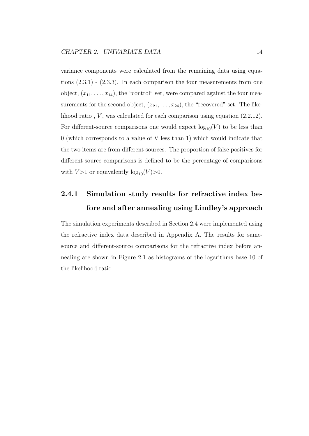variance components were calculated from the remaining data using equations (2.3.1) - (2.3.3). In each comparison the four measurements from one object,  $(x_{11}, \ldots, x_{14})$ , the "control" set, were compared against the four measurements for the second object,  $(x_{21}, \ldots, x_{24})$ , the "recovered" set. The likelihood ratio, *V*, was calculated for each comparison using equation  $(2.2.12)$ . For different-source comparisons one would expect  $log_{10}(V)$  to be less than 0 (which corresponds to a value of V less than 1) which would indicate that the two items are from different sources. The proportion of false positives for different-source comparisons is defined to be the percentage of comparisons with  $V > 1$  or equivalently  $\log_{10}(V) > 0$ .

#### **2.4.1 Simulation study results for refractive index before and after annealing using Lindley's approach**

The simulation experiments described in Section 2.4 were implemented using the refractive index data described in Appendix A. The results for samesource and different-source comparisons for the refractive index before annealing are shown in Figure 2.1 as histograms of the logarithms base 10 of the likelihood ratio.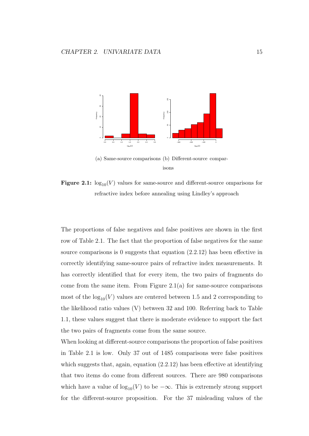

<sup>(</sup>a) Same-source comparisons (b) Different-source comparisons

**Figure 2.1:**  $\log_{10}(V)$  values for same-source and different-source omparisons for refractive index before annealing using Lindley's approach

The proportions of false negatives and false positives are shown in the first row of Table 2.1. The fact that the proportion of false negatives for the same source comparisons is 0 suggests that equation  $(2.2.12)$  has been effective in correctly identifying same-source pairs of refractive index measurements. It has correctly identified that for every item, the two pairs of fragments do come from the same item. From Figure  $2.1(a)$  for same-source comparisons most of the  $log_{10}(V)$  values are centered between 1.5 and 2 corresponding to the likelihood ratio values (V) between 32 and 100. Referring back to Table 1.1, these values suggest that there is moderate evidence to support the fact the two pairs of fragments come from the same source.

When looking at different-source comparisons the proportion of false positives in Table 2.1 is low. Only 37 out of 1485 comparisons were false positives which suggests that, again, equation  $(2.2.12)$  has been effective at identifying that two items do come from different sources. There are 980 comparisons which have a value of  $log_{10}(V)$  to be  $-\infty$ . This is extremely strong support for the different-source proposition. For the 37 misleading values of the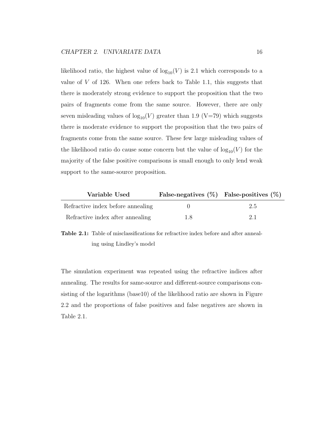likelihood ratio, the highest value of  $log_{10}(V)$  is 2.1 which corresponds to a value of *V* of 126. When one refers back to Table 1.1, this suggests that there is moderately strong evidence to support the proposition that the two pairs of fragments come from the same source. However, there are only seven misleading values of  $log_{10}(V)$  greater than 1.9 (V=79) which suggests there is moderate evidence to support the proposition that the two pairs of fragments come from the same source. These few large misleading values of the likelihood ratio do cause some concern but the value of  $log_{10}(V)$  for the majority of the false positive comparisons is small enough to only lend weak support to the same-source proposition.

| Variable Used                     | False-negatives $(\%)$ False-positives $(\%)$ |     |
|-----------------------------------|-----------------------------------------------|-----|
| Refractive index before annealing |                                               | 2.5 |
| Refractive index after annealing  | 1.8                                           | 2.1 |

**Table 2.1:** Table of misclassifications for refractive index before and after annealing using Lindley's model

The simulation experiment was repeated using the refractive indices after annealing. The results for same-source and different-source comparisons consisting of the logarithms (base10) of the likelihood ratio are shown in Figure 2.2 and the proportions of false positives and false negatives are shown in Table 2.1.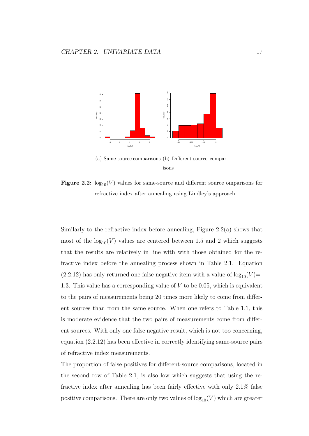

<sup>(</sup>a) Same-source comparisons (b) Different-source comparisons

**Figure 2.2:**  $\log_{10}(V)$  values for same-source and different source omparisons for refractive index after annealing using Lindley's approach

Similarly to the refractive index before annealing, Figure 2.2(a) shows that most of the  $log_{10}(V)$  values are centered between 1.5 and 2 which suggests that the results are relatively in line with with those obtained for the refractive index before the annealing process shown in Table 2.1. Equation  $(2.2.12)$  has only returned one false negative item with a value of  $log_{10}(V)$ = 1.3. This value has a corresponding value of *V* to be 0.05, which is equivalent to the pairs of measurements being 20 times more likely to come from different sources than from the same source. When one refers to Table 1.1, this is moderate evidence that the two pairs of measurements come from different sources. With only one false negative result, which is not too concerning, equation (2.2.12) has been effective in correctly identifying same-source pairs of refractive index measurements.

The proportion of false positives for different-source comparisons, located in the second row of Table 2.1, is also low which suggests that using the refractive index after annealing has been fairly effective with only 2.1% false positive comparisons. There are only two values of  $log_{10}(V)$  which are greater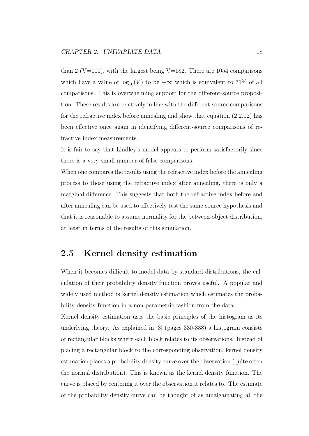than 2 (V=100), with the largest being V=182. There are 1054 comparisons which have a value of  $\log_{10}(V)$  to be  $-\infty$  which is equivalent to 71% of all comparisons. This is overwhelming support for the different-source proposition. These results are relatively in line with the different-source comparisons for the refractive index before annealing and show that equation (2.2.12) has been effective once again in identifying different-source comparisons of refractive index measurements.

It is fair to say that Lindley's model appears to perform satisfactorily since there is a very small number of false comparisons.

When one compares the results using the refractive index before the annealing process to those using the refractive index after annealing, there is only a marginal difference. This suggests that both the refractive index before and after annealing can be used to effectively test the same-source hypothesis and that it is reasonable to assume normality for the between-object distribution, at least in terms of the results of this simulation.

#### **2.5 Kernel density estimation**

When it becomes difficult to model data by standard distributions, the calculation of their probability density function proves useful. A popular and widely used method is kernel density estimation which estimates the probability density function in a non-parametric fashion from the data.

Kernel density estimation uses the basic principles of the histogram as its underlying theory. As explained in [3] (pages 330-338) a histogram consists of rectangular blocks where each block relates to its observations. Instead of placing a rectangular block to the corresponding observation, kernel density estimation places a probability density curve over the observation (quite often the normal distribution). This is known as the kernel density function. The curve is placed by centering it over the observation it relates to. The estimate of the probability density curve can be thought of as amalgamating all the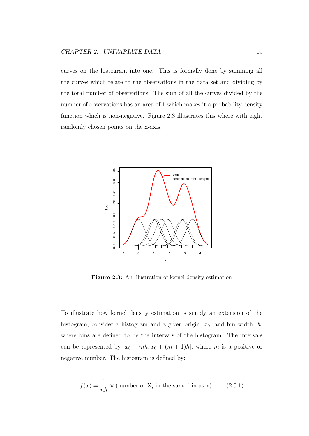curves on the histogram into one. This is formally done by summing all the curves which relate to the observations in the data set and dividing by the total number of observations. The sum of all the curves divided by the number of observations has an area of 1 which makes it a probability density function which is non-negative. Figure 2.3 illustrates this where with eight randomly chosen points on the x-axis.



**Figure 2.3:** An illustration of kernel density estimation

To illustrate how kernel density estimation is simply an extension of the histogram, consider a histogram and a given origin, *x*0, and bin width, *h*, where bins are defined to be the intervals of the histogram. The intervals can be represented by  $[x_0 + mh, x_0 + (m+1)h]$ , where *m* is a positive or negative number. The histogram is defined by:

$$
\hat{f}(x) = \frac{1}{nh} \times \text{(number of X}_i \text{ in the same bin as x)} \tag{2.5.1}
$$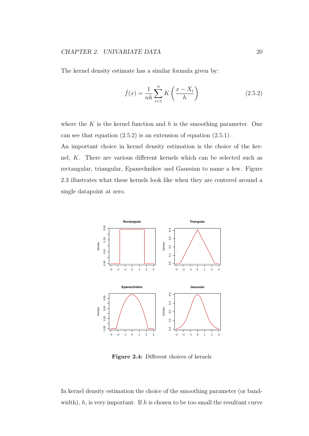The kernel density estimate has a similar formula given by:

$$
\hat{f}(x) = \frac{1}{nh} \sum_{i=1}^{n} K\left(\frac{x - X_i}{h}\right)
$$
\n(2.5.2)

where the *K* is the kernel function and *h* is the smoothing parameter. One can see that equation (2.5.2) is an extension of equation (2.5.1).

An important choice in kernel density estimation is the choice of the kernel, *K*. There are various different kernels which can be selected such as rectangular, triangular, Epanechnikov and Gaussian to name a few. Figure 2.3 illustrates what these kernels look like when they are centered around a single datapoint at zero.



**Figure 2.4:** Different choices of kernels

In kernel density estimation the choice of the smoothing parameter (or bandwidth),  $h$ , is very important. If  $h$  is chosen to be too small the resultant curve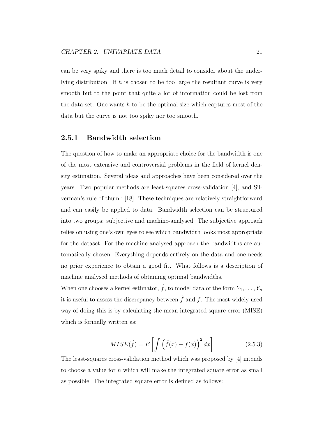can be very spiky and there is too much detail to consider about the underlying distribution. If *h* is chosen to be too large the resultant curve is very smooth but to the point that quite a lot of information could be lost from the data set. One wants *h* to be the optimal size which captures most of the data but the curve is not too spiky nor too smooth.

#### **2.5.1 Bandwidth selection**

The question of how to make an appropriate choice for the bandwidth is one of the most extensive and controversial problems in the field of kernel density estimation. Several ideas and approaches have been considered over the years. Two popular methods are least-squares cross-validation [4], and Silverman's rule of thumb [18]. These techniques are relatively straightforward and can easily be applied to data. Bandwidth selection can be structured into two groups: subjective and machine-analysed. The subjective approach relies on using one's own eyes to see which bandwidth looks most appropriate for the dataset. For the machine-analysed approach the bandwidths are automatically chosen. Everything depends entirely on the data and one needs no prior experience to obtain a good fit. What follows is a description of machine analysed methods of obtaining optimal bandwidths.

When one chooses a kernel estimator,  $\hat{f}$ , to model data of the form  $Y_1, \ldots, Y_n$ it is useful to assess the discrepancy between  $\hat{f}$  and  $f$ . The most widely used way of doing this is by calculating the mean integrated square error (MISE) which is formally written as:

$$
MISE(\hat{f}) = E\left[\int (\hat{f}(x) - f(x))^2 dx\right]
$$
 (2.5.3)

The least-squares cross-validation method which was proposed by [4] intends to choose a value for *h* which will make the integrated square error as small as possible. The integrated square error is defined as follows: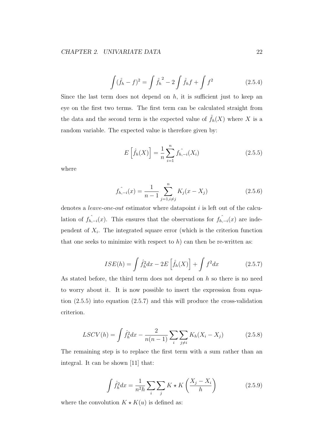$$
\int (\hat{f}_h - f)^2 = \int \hat{f}_h^2 - 2 \int \hat{f}_h f + \int f^2 \tag{2.5.4}
$$

Since the last term does not depend on  $h$ , it is sufficient just to keep an eye on the first two terms. The first term can be calculated straight from the data and the second term is the expected value of  $\hat{f}_h(X)$  where X is a random variable. The expected value is therefore given by:

$$
E\left[\hat{f}_h(X)\right] = \frac{1}{n} \sum_{i=1}^n f_{h,-i}(X_i)
$$
\n(2.5.5)

where

$$
\hat{f_{n,-i}}(x) = \frac{1}{n-1} \sum_{j=1, i \neq j}^{n} K_j(x - X_j)
$$
\n(2.5.6)

denotes a *leave*-*one*-*out* estimator where datapoint *i* is left out of the calculation of  $f_{h,-i}(x)$ . This ensures that the observations for  $f_{h,-i}(x)$  are independent of  $X_i$ . The integrated square error (which is the criterion function that one seeks to minimize with respect to  $h$ ) can then be re-written as:

$$
ISE(h) = \int \hat{f}_h^2 dx - 2E\left[\hat{f}_h(X)\right] + \int f^2 dx \qquad (2.5.7)
$$

As stated before, the third term does not depend on *h* so there is no need to worry about it. It is now possible to insert the expression from equation (2.5.5) into equation (2.5.7) and this will produce the cross-validation criterion.

$$
LSCV(h) = \int \hat{f}_h^2 dx - \frac{2}{n(n-1)} \sum_i \sum_{j \neq i} K_h (X_i - X_j)
$$
 (2.5.8)

The remaining step is to replace the first term with a sum rather than an integral. It can be shown [11] that:

$$
\int \hat{f}_h^2 dx = \frac{1}{n^2 h} \sum_i \sum_j K \star K \left( \frac{X_j - X_i}{h} \right) \tag{2.5.9}
$$

where the convolution  $K \star K(u)$  is defined as: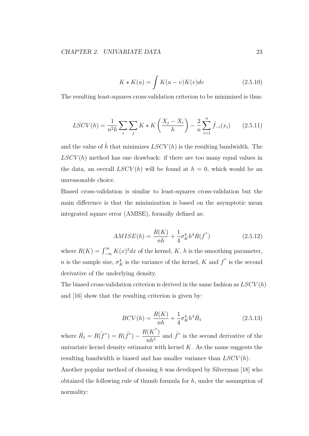$$
K \star K(u) = \int K(u-v)K(v)dv
$$
\n(2.5.10)

The resulting least-squares cross-validation criterion to be minimized is thus:

$$
LSCV(h) = \frac{1}{n^2 h} \sum_{i} \sum_{j} K \star K \left( \frac{X_j - X_i}{h} \right) - \frac{2}{n} \sum_{i=1}^{n} \hat{f}_{-i}(x_i)
$$
(2.5.11)

and the value of  $\hat{h}$  that minimizes  $LSCV(h)$  is the resulting bandwidth. The  $LSCV(h)$  method has one drawback: if there are too many equal values in the data, an overall  $LSCV(h)$  will be found at  $h = 0$ , which would be an unreasonable choice.

Biased cross-validation is similar to least-squares cross-validation but the main difference is that the minimization is based on the asymptotic mean integrated square error (AMISE), formally defined as:

$$
AMISE(h) = \frac{R(K)}{nh} + \frac{1}{4}\sigma_K^4 h^4 R(f'')
$$
\n(2.5.12)

where  $R(K) = \int_{-\infty}^{\infty} K(x)^2 dx$  of the kernel, *K*, *h* is the smoothing parameter, *n* is the sample size,  $\sigma_K^4$  is the variance of the kernel, *K* and  $f''$  is the second derivative of the underlying density.

The biased cross-validation criterion is derived in the same fashion as *LSCV* (*h*) and [16] show that the resulting criterion is given by:

$$
BCV(h) = \frac{R(K)}{nh} + \frac{1}{4}\sigma_K^4 h^4 \hat{R}_1
$$
\n(2.5.13)

where  $\hat{R_1} = R(\hat{f}^{\prime\prime}) = R(\hat{f}^{\prime\prime}) R(K'')$ *nh*<sup>5</sup> and  $\hat{f}^{\prime\prime}$  is the second derivative of the univariate kernel density estimator with kernel *K*. As the name suggests the resulting bandwidth is biased and has smaller variance than *LSCV* (*h*). Another popular method of choosing *h* was developed by Silverman [18] who obtained the following rule of thumb formula for *h*, under the assumption of normality: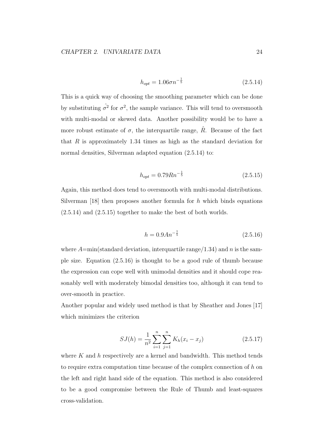$$
h_{opt} = 1.06\sigma n^{-\frac{1}{5}}\tag{2.5.14}
$$

This is a quick way of choosing the smoothing parameter which can be done by substituting  $\hat{\sigma}^2$  for  $\sigma^2$ , the sample variance. This will tend to oversmooth with multi-modal or skewed data. Another possibility would be to have a more robust estimate of  $\sigma$ , the interquartile range,  $\hat{R}$ . Because of the fact that *R* is approximately 1.34 times as high as the standard deviation for normal densities, Silverman adapted equation  $(2.5.14)$  to:

$$
h_{opt} = 0.79Rn^{-\frac{1}{5}}\tag{2.5.15}
$$

Again, this method does tend to oversmooth with multi-modal distributions. Silverman [18] then proposes another formula for *h* which binds equations (2.5.14) and (2.5.15) together to make the best of both worlds.

$$
h = 0.9An^{-\frac{1}{5}}\tag{2.5.16}
$$

where  $A = min(\text{standard deviation}, \text{interquartile range}/1.34)$  and *n* is the sample size. Equation (2.5.16) is thought to be a good rule of thumb because the expression can cope well with unimodal densities and it should cope reasonably well with moderately bimodal densities too, although it can tend to over-smooth in practice.

Another popular and widely used method is that by Sheather and Jones [17] which minimizes the criterion

$$
SJ(h) = \frac{1}{n^2} \sum_{i=1}^{n} \sum_{j=1}^{n} K_h(x_i - x_j)
$$
 (2.5.17)

where *K* and *h* respectively are a kernel and bandwidth. This method tends to require extra computation time because of the complex connection of *h* on the left and right hand side of the equation. This method is also considered to be a good compromise between the Rule of Thumb and least-squares cross-validation.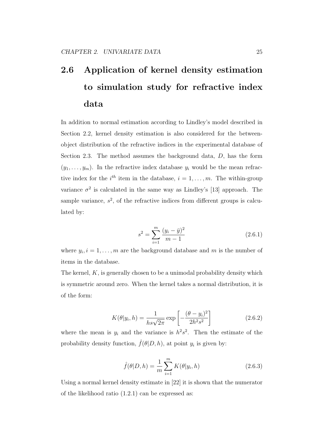# **2.6 Application of kernel density estimation to simulation study for refractive index data**

In addition to normal estimation according to Lindley's model described in Section 2.2, kernel density estimation is also considered for the betweenobject distribution of the refractive indices in the experimental database of Section 2.3. The method assumes the background data, *D*, has the form  $(y_1, \ldots, y_m)$ . In the refractive index database  $y_i$  would be the mean refractive index for the  $i^{th}$  item in the database,  $i = 1, \ldots, m$ . The within-group variance  $\sigma^2$  is calculated in the same way as Lindley's [13] approach. The sample variance,  $s^2$ , of the refractive indices from different groups is calculated by:

$$
s^{2} = \sum_{i=1}^{m} \frac{(y_{i} - \bar{y})^{2}}{m - 1}
$$
 (2.6.1)

where  $y_i, i = 1, \ldots, m$  are the background database and  $m$  is the number of items in the database.

The kernel, *K*, is generally chosen to be a unimodal probability density which is symmetric around zero. When the kernel takes a normal distribution, it is of the form:

$$
K(\theta|y_i, h) = \frac{1}{h s \sqrt{2\pi}} \exp\left[-\frac{(\theta - y_i)^2}{2h^2 s^2}\right]
$$
 (2.6.2)

where the mean is  $y_i$  and the variance is  $h^2 s^2$ . Then the estimate of the probability density function,  $\hat{f}(\theta|D, h)$ , at point  $y_i$  is given by:

$$
\hat{f}(\theta|D, h) = \frac{1}{m} \sum_{i=1}^{m} K(\theta|y_i, h)
$$
\n(2.6.3)

Using a normal kernel density estimate in [22] it is shown that the numerator of the likelihood ratio (1.2.1) can be expressed as: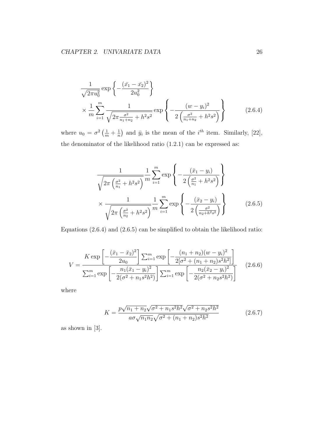$$
\frac{1}{\sqrt{2\pi u_0^2}} \exp\left\{-\frac{(\bar{x}_1 - \bar{x}_2)^2}{2u_0^2}\right\}
$$
\n
$$
\times \frac{1}{m} \sum_{i=1}^m \frac{1}{\sqrt{2\pi \frac{\sigma^2}{n_1 + n_2} + h^2 s^2}} \exp\left\{-\frac{(w - y_i)^2}{2\left(\frac{\sigma^2}{n_1 + n_2} + h^2 s^2\right)}\right\} \tag{2.6.4}
$$

where  $u_0 = \sigma^2 \left( \frac{1}{m} + \frac{1}{n} \right)$  $\frac{1}{n}$  and  $\bar{y}_i$  is the mean of the *i*<sup>th</sup> item. Similarly, [22], the denominator of the likelihood ratio (1.2.1) can be expressed as:

$$
\frac{1}{\sqrt{2\pi \left(\frac{\sigma^2}{n_1} + h^2 s^2\right)}} \frac{1}{m} \sum_{i=1}^m \exp\left\{-\frac{(\bar{x}_1 - y_i)}{2\left(\frac{\sigma^2}{n_1} + h^2 s^2\right)}\right\}
$$

$$
\times \frac{1}{\sqrt{2\pi \left(\frac{\sigma^2}{n_2} + h^2 s^2\right)}} \frac{1}{m} \sum_{i=1}^m \exp\left\{-\frac{(\bar{x}_2 - y_i)}{2\left(\frac{\sigma^2}{n_2 + h^2 s^2}\right)}\right\} \tag{2.6.5}
$$

Equations (2.6.4) and (2.6.5) can be simplified to obtain the likelihood ratio:

$$
V = \frac{K \exp\left[-\frac{(\bar{x}_1 - \bar{x}_2)^2}{2u_0}\right] \sum_{i=1}^m \exp\left[-\frac{(n_1 + n_2)(w - y_i)^2}{2[\sigma^2 + (n_1 + n_2)s^2h^2]}\right]}{\sum_{i=1}^m \exp\left[-\frac{n_1(\bar{x}_1 - y_i)^2}{2(\sigma^2 + n_1s^2h^2)}\right] \sum_{i=1}^m \exp\left[-\frac{n_2(\bar{x}_2 - y_i)^2}{2(\sigma^2 + n_2s^2h^2)}\right]}
$$
(2.6.6)

where

$$
K = \frac{p\sqrt{n_1 + n_2}\sqrt{\sigma^2 + n_1 s^2 h^2} \sqrt{\sigma^2 + n_2 s^2 h^2}}{a\sigma\sqrt{n_1 n_2}\sqrt{\sigma^2 + (n_1 + n_2)s^2 h^2}}
$$
(2.6.7)

as shown in [3].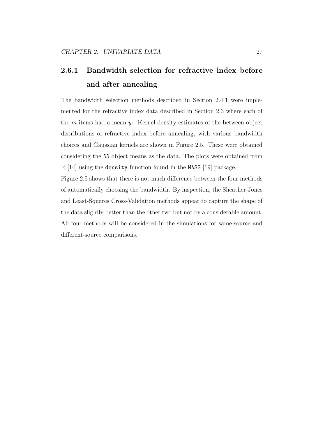### **2.6.1 Bandwidth selection for refractive index before and after annealing**

The bandwidth selection methods described in Section 2.4.1 were implemented for the refractive index data described in Section 2.3 where each of the  $m$  items had a mean  $\bar{y}_i$ . Kernel density estimates of the between-object distributions of refractive index before annealing, with various bandwidth choices and Gaussian kernels are shown in Figure 2.5. These were obtained considering the 55 object means as the data. The plots were obtained from R [14] using the density function found in the MASS [19] package.

Figure 2.5 shows that there is not much difference between the four methods of automatically choosing the bandwidth. By inspection, the Sheather-Jones and Least-Squares Cross-Validation methods appear to capture the shape of the data slightly better than the other two but not by a considerable amount. All four methods will be considered in the simulations for same-source and different-source comparisons.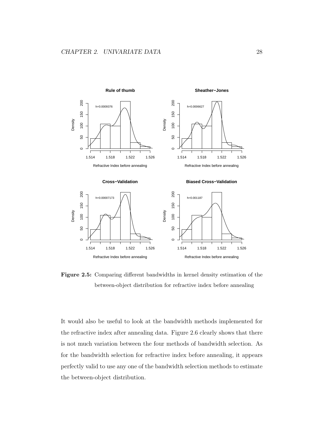

**Figure 2.5:** Comparing different bandwidths in kernel density estimation of the between-object distribution for refractive index before annealing

It would also be useful to look at the bandwidth methods implemented for the refractive index after annealing data. Figure 2.6 clearly shows that there is not much variation between the four methods of bandwidth selection. As for the bandwidth selection for refractive index before annealing, it appears perfectly valid to use any one of the bandwidth selection methods to estimate the between-object distribution.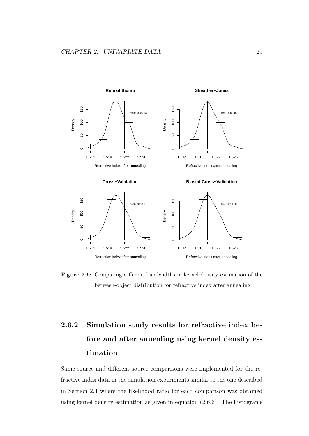

**Figure 2.6:** Comparing different bandwidths in kernel density estimation of the between-object distribution for refractive index after annealing

### **2.6.2 Simulation study results for refractive index before and after annealing using kernel density estimation**

Same-source and different-source comparisons were implemented for the refractive index data in the simulation experiments similar to the one described in Section 2.4 where the likelihood ratio for each comparison was obtained using kernel density estimation as given in equation (2.6.6). The histograms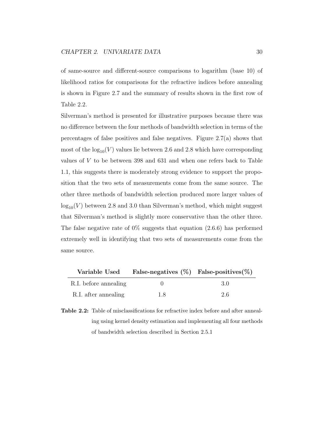of same-source and different-source comparisons to logarithm (base 10) of likelihood ratios for comparisons for the refractive indices before annealing is shown in Figure 2.7 and the summary of results shown in the first row of Table 2.2.

Silverman's method is presented for illustrative purposes because there was no difference between the four methods of bandwidth selection in terms of the percentages of false positives and false negatives. Figure 2.7(a) shows that most of the  $log_{10}(V)$  values lie between 2.6 and 2.8 which have corresponding values of *V* to be between 398 and 631 and when one refers back to Table 1.1, this suggests there is moderately strong evidence to support the proposition that the two sets of measurements come from the same source. The other three methods of bandwidth selection produced more larger values of  $log_{10}(V)$  between 2.8 and 3.0 than Silverman's method, which might suggest that Silverman's method is slightly more conservative than the other three. The false negative rate of  $0\%$  suggests that equation (2.6.6) has performed extremely well in identifying that two sets of measurements come from the same source.

| Variable Used         | False-negatives $(\%)$ False-positives $(\%)$ |    |
|-----------------------|-----------------------------------------------|----|
| R.I. before annealing |                                               | 30 |
| R.I. after annealing  | 1.8                                           | 26 |

**Table 2.2:** Table of misclassifications for refractive index before and after annealing using kernel density estimation and implementing all four methods of bandwidth selection described in Section 2.5.1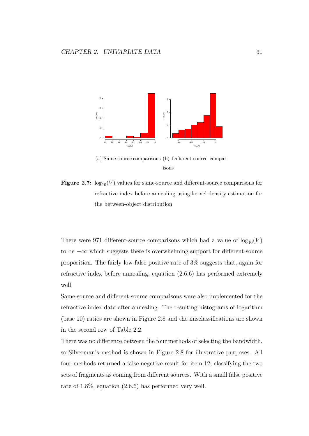

(a) Same-source comparisons (b) Different-source comparisons

**Figure 2.7:**  $\log_{10}(V)$  values for same-source and different-source comparisons for refractive index before annealing using kernel density estimation for the between-object distribution

There were 971 different-source comparisons which had a value of  $log_{10}(V)$ to be *−∞* which suggests there is overwhelming support for different-source proposition. The fairly low false positive rate of 3% suggests that, again for refractive index before annealing, equation (2.6.6) has performed extremely well.

Same-source and different-source comparisons were also implemented for the refractive index data after annealing. The resulting histograms of logarithm (base 10) ratios are shown in Figure 2.8 and the misclassifications are shown in the second row of Table 2.2.

There was no difference between the four methods of selecting the bandwidth, so Silverman's method is shown in Figure 2.8 for illustrative purposes. All four methods returned a false negative result for item 12, classifying the two sets of fragments as coming from different sources. With a small false positive rate of 1.8%, equation (2.6.6) has performed very well.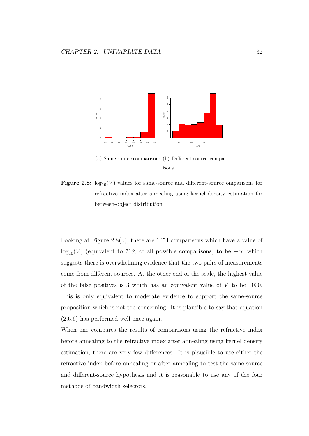

<sup>(</sup>a) Same-source comparisons (b) Different-source comparisons

**Figure 2.8:**  $\log_{10}(V)$  values for same-source and different-source omparisons for refractive index after annealing using kernel density estimation for between-object distribution

Looking at Figure 2.8(b), there are 1054 comparisons which have a value of log<sub>10</sub>(*V*) (equivalent to 71% of all possible comparisons) to be  $-\infty$  which suggests there is overwhelming evidence that the two pairs of measurements come from different sources. At the other end of the scale, the highest value of the false positives is 3 which has an equivalent value of *V* to be 1000. This is only equivalent to moderate evidence to support the same-source proposition which is not too concerning. It is plausible to say that equation (2.6.6) has performed well once again.

When one compares the results of comparisons using the refractive index before annealing to the refractive index after annealing using kernel density estimation, there are very few differences. It is plausible to use either the refractive index before annealing or after annealing to test the same-source and different-source hypothesis and it is reasonable to use any of the four methods of bandwidth selectors.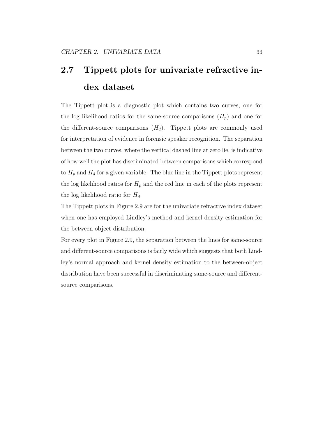# **2.7 Tippett plots for univariate refractive index dataset**

The Tippett plot is a diagnostic plot which contains two curves, one for the log likelihood ratios for the same-source comparisons  $(H_p)$  and one for the different-source comparisons  $(H_d)$ . Tippett plots are commonly used for interpretation of evidence in forensic speaker recognition. The separation between the two curves, where the vertical dashed line at zero lie, is indicative of how well the plot has discriminated between comparisons which correspond to  $H_p$  and  $H_d$  for a given variable. The blue line in the Tippett plots represent the log likelihood ratios for  $H_p$  and the red line in each of the plots represent the log likelihood ratio for *Hd*.

The Tippett plots in Figure 2.9 are for the univariate refractive index dataset when one has employed Lindley's method and kernel density estimation for the between-object distribution.

For every plot in Figure 2.9, the separation between the lines for same-source and different-source comparisons is fairly wide which suggests that both Lindley's normal approach and kernel density estimation to the between-object distribution have been successful in discriminating same-source and differentsource comparisons.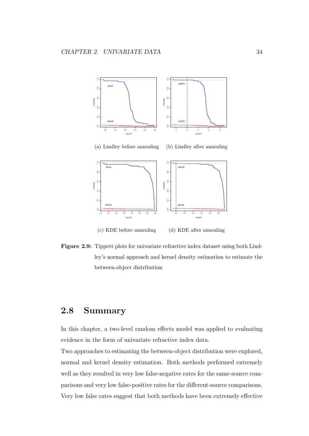

**Figure 2.9:** Tippett plots for univariate refractive index dataset using both Lindley's normal approach and kernel density estimation to estimate the between-object distribution

### **2.8 Summary**

In this chapter, a two-level random effects model was applied to evaluating evidence in the form of univariate refractive index data.

Two approaches to estimating the between-object distribution were explored, normal and kernel density estimation. Both methods performed extremely well as they resulted in very low false-negative rates for the same-source comparisons and very low false-positive rates for the different-source comparisons. Very low false rates suggest that both methods have been extremely effective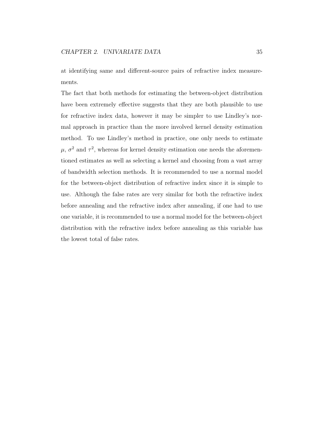at identifying same and different-source pairs of refractive index measurements.

The fact that both methods for estimating the between-object distribution have been extremely effective suggests that they are both plausible to use for refractive index data, however it may be simpler to use Lindley's normal approach in practice than the more involved kernel density estimation method. To use Lindley's method in practice, one only needs to estimate  $\mu$ ,  $\sigma^2$  and  $\tau^2$ , whereas for kernel density estimation one needs the aforementioned estimates as well as selecting a kernel and choosing from a vast array of bandwidth selection methods. It is recommended to use a normal model for the between-object distribution of refractive index since it is simple to use. Although the false rates are very similar for both the refractive index before annealing and the refractive index after annealing, if one had to use one variable, it is recommended to use a normal model for the between-object distribution with the refractive index before annealing as this variable has the lowest total of false rates.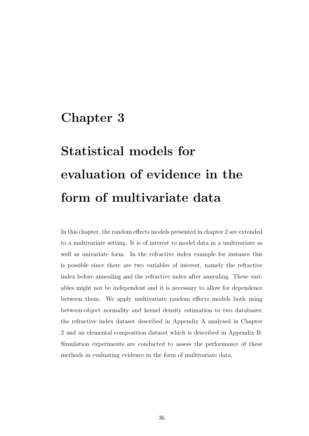### **Chapter 3**

# **Statistical models for evaluation of evidence in the form of multivariate data**

In this chapter, the random effects models presented in chapter 2 are extended to a multivariate setting. It is of interest to model data in a multivariate as well as univariate form. In the refractive index example for instance this is possible since there are two variables of interest, namely the refractive index before annealing and the refractive index after annealing. These variables might not be independent and it is necessary to allow for dependence between them. We apply multivariate random effects models both using between-object normality and kernel density estimation to two databases; the refractive index dataset described in Appendix A analysed in Chapter 2 and an elemental composition dataset which is described in Appendix B. Simulation experiments are conducted to assess the performance of these methods in evaluating evidence in the form of multivariate data.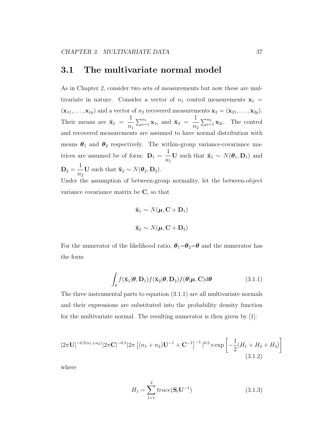### **3.1 The multivariate normal model**

As in Chapter 2, consider two sets of measurements but now these are multivariate in nature. Consider a vector of  $n_1$  control measurements  $\mathbf{x}_1$  =  $(\mathbf{x}_{11}, \ldots, \mathbf{x}_{1p})$  and a vector of  $n_2$  recovered measurements  $\mathbf{x}_2 = (\mathbf{x}_{21}, \ldots, \mathbf{x}_{2p})$ . Their means are  $\bar{\mathbf{x}}_1$  = 1 *n*1  $\sum_{i=1}^{n_1} \mathbf{x}_{1i}$  and  $\bar{\mathbf{x}}_2$  = 1 *n*2  $\sum_{i=1}^{n_2} \mathbf{x}_{2i}$ . The control and recovered measurements are assumed to have normal distribution with means  $\theta_1$  and  $\theta_2$  respectively. The within-group variance-covariance matrices are assumed be of form:  $D_1 =$ 1 *n*1 **U** such that  $\bar{\mathbf{x}}_1 \sim N(\boldsymbol{\theta}_1, \mathbf{D}_1)$  and  $\mathbf{D}_2 =$ 1 *n*2 **U** such that  $\bar{\mathbf{x}}_2 \sim N(\boldsymbol{\theta}_2, \mathbf{D}_2)$ .

Under the assumption of between-group normality, let the between-object variance covariance matrix be **C**, so that

$$
\bar{\mathbf{x}}_1 \sim N(\boldsymbol{\mu}, \mathbf{C} + \mathbf{D}_1)
$$
  

$$
\bar{\mathbf{x}}_2 \sim N(\boldsymbol{\mu}, \mathbf{C} + \mathbf{D}_2)
$$

For the numerator of the likelihood ratio,  $\theta_1 = \theta_2 = \theta$  and the numerator has the form

$$
\int_{\theta} f(\bar{\mathbf{x}}_1 | \boldsymbol{\theta}, \mathbf{D}_1) f(\bar{\mathbf{x}}_2 | \boldsymbol{\theta}, \mathbf{D}_2) f(\boldsymbol{\theta} | \boldsymbol{\mu}, \mathbf{C}) d\boldsymbol{\theta}
$$
(3.1.1)

The three instrumental parts to equation (3.1.1) are all multivariate normals and their expressions are substituted into the probability density function for the multivariate normal. The resulting numerator is then given by [1]:

$$
|2\pi\mathbf{U}|^{-0.5(n_1+n_2)}|2\pi\mathbf{C}|^{-0.5}|2\pi\left[(n_1+n_2)\mathbf{U}^{-1}+\mathbf{C}^{-1}\right]^{-1}|^{0.5}\times\exp\left[-\frac{1}{2}(H_1+H_2+H_3)\right]
$$
\n(3.1.2)

where

$$
H_1 = \sum_{l=1}^{2} trace(\mathbf{S}_l \mathbf{U}^{-1})
$$
 (3.1.3)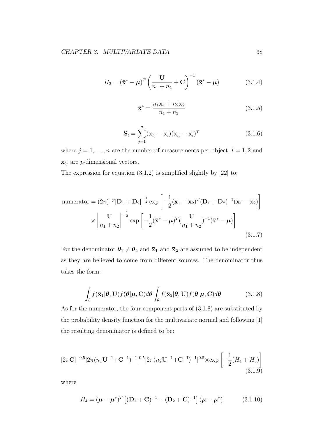$$
H_2 = (\mathbf{\bar{x}}^* - \boldsymbol{\mu})^T \left( \frac{\mathbf{U}}{n_1 + n_2} + \mathbf{C} \right)^{-1} (\mathbf{\bar{x}}^* - \boldsymbol{\mu})
$$
 (3.1.4)

$$
\overline{\mathbf{x}}^* = \frac{n_1 \overline{\mathbf{x}}_1 + n_2 \overline{\mathbf{x}}_2}{n_1 + n_2} \tag{3.1.5}
$$

$$
\mathbf{S}_{l} = \sum_{j=1}^{n} (\mathbf{x}_{lj} - \bar{\mathbf{x}}_{l})(\mathbf{x}_{lj} - \bar{\mathbf{x}}_{l})^{T}
$$
(3.1.6)

where  $j = 1, \ldots, n$  are the number of measurements per object,  $l = 1, 2$  and  $\mathbf{x}_{lj}$  are *p*-dimensional vectors.

The expression for equation  $(3.1.2)$  is simplified slightly by  $[22]$  to:

numerator = 
$$
(2\pi)^{-p}|\mathbf{D}_1 + \mathbf{D}_2|^{-\frac{1}{2}} \exp\left[-\frac{1}{2}(\bar{\mathbf{x}}_1 - \bar{\mathbf{x}}_2)^T(\mathbf{D}_1 + \mathbf{D}_2)^{-1}(\bar{\mathbf{x}}_1 - \bar{\mathbf{x}}_2)\right]
$$
  
 
$$
\times \left|\frac{\mathbf{U}}{n_1 + n_2}\right|^{-\frac{1}{2}} \exp\left[-\frac{1}{2}(\bar{\mathbf{x}}^* - \boldsymbol{\mu})^T(\frac{\mathbf{U}}{n_1 + n_2})^{-1}(\bar{\mathbf{x}}^* - \boldsymbol{\mu})\right]
$$
(3.1.7)

For the denominator  $\theta_1 \neq \theta_2$  and  $\bar{\mathbf{x}}_1$  and  $\bar{\mathbf{x}}_2$  are assumed to be independent as they are believed to come from different sources. The denominator thus takes the form:

$$
\int_{\theta} f(\bar{\mathbf{x}}_1 | \boldsymbol{\theta}, \mathbf{U}) f(\boldsymbol{\theta} | \boldsymbol{\mu}, \mathbf{C}) d\boldsymbol{\theta} \int_{\theta} f(\bar{\mathbf{x}}_2 | \boldsymbol{\theta}, \mathbf{U}) f(\boldsymbol{\theta} | \boldsymbol{\mu}, \mathbf{C}) d\boldsymbol{\theta}
$$
(3.1.8)

As for the numerator, the four component parts of (3.1.8) are substituted by the probability density function for the multivariate normal and following [1] the resulting denominator is defined to be:

$$
|2\pi \mathbf{C}|^{-0.5} |2\pi (n_1 \mathbf{U}^{-1} + \mathbf{C}^{-1})^{-1}|^{0.5} |2\pi (n_2 \mathbf{U}^{-1} + \mathbf{C}^{-1})^{-1}|^{0.5} \times \exp\left[-\frac{1}{2}(H_4 + H_5)\right]
$$
\n(3.1.9)

where

$$
H_4 = (\boldsymbol{\mu} - \boldsymbol{\mu}^*)^T \left[ (\mathbf{D}_1 + \mathbf{C})^{-1} + (\mathbf{D}_2 + \mathbf{C})^{-1} \right] (\boldsymbol{\mu} - \boldsymbol{\mu}^*) \tag{3.1.10}
$$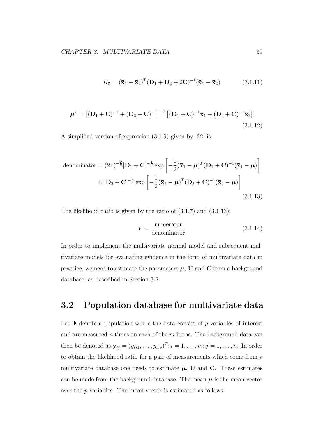$$
H_5 = (\bar{\mathbf{x}}_1 - \bar{\mathbf{x}}_2)^T (\mathbf{D}_1 + \mathbf{D}_2 + 2\mathbf{C})^{-1} (\bar{\mathbf{x}}_1 - \bar{\mathbf{x}}_2)
$$
(3.1.11)

$$
\mu^* = \left[ (\mathbf{D}_1 + \mathbf{C})^{-1} + (\mathbf{D}_2 + \mathbf{C})^{-1} \right]^{-1} \left[ (\mathbf{D}_1 + \mathbf{C})^{-1} \bar{\mathbf{x}}_1 + (\mathbf{D}_2 + \mathbf{C})^{-1} \bar{\mathbf{x}}_2 \right]
$$
(3.1.12)

A simplified version of expression (3.1.9) given by [22] is:

denominator = 
$$
(2\pi)^{-\frac{p}{2}}|\mathbf{D}_1 + \mathbf{C}|^{-\frac{1}{2}} \exp\left[-\frac{1}{2}(\bar{\mathbf{x}}_1 - \boldsymbol{\mu})^T(\mathbf{D}_1 + \mathbf{C})^{-1}(\bar{\mathbf{x}}_1 - \boldsymbol{\mu})\right]
$$
  
  $\times |\mathbf{D}_2 + \mathbf{C}|^{-\frac{1}{2}} \exp\left[-\frac{1}{2}(\bar{\mathbf{x}}_2 - \boldsymbol{\mu})^T(\mathbf{D}_2 + \mathbf{C})^{-1}(\bar{\mathbf{x}}_2 - \boldsymbol{\mu})\right]$  (3.1.13)

The likelihood ratio is given by the ratio of  $(3.1.7)$  and  $(3.1.13)$ :

$$
V = \frac{\text{numerator}}{\text{denominator}} \tag{3.1.14}
$$

In order to implement the multivariate normal model and subsequent multivariate models for evaluating evidence in the form of multivariate data in practice, we need to estimate the parameters  $\mu$ , **U** and **C** from a background database, as described in Section 3.2.

### **3.2 Population database for multivariate data**

Let  $\Psi$  denote a population where the data consist of p variables of interest and are measured *n* times on each of the *m* items. The background data can then be denoted as  $\mathbf{y}_{ij} = (y_{ij1}, \dots, y_{ijp})^T$ ;  $i = 1, \dots, m; j = 1, \dots, n$ . In order to obtain the likelihood ratio for a pair of measurements which come from a multivariate database one needs to estimate  $\mu$ , **U** and **C**. These estimates can be made from the background database. The mean  $\mu$  is the mean vector over the *p* variables. The mean vector is estimated as follows: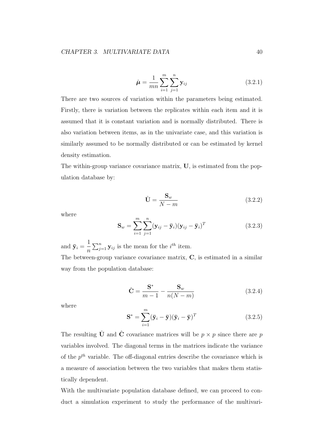$$
\hat{\mu} = \frac{1}{mn} \sum_{i=1}^{m} \sum_{j=1}^{n} \mathbf{y}_{ij}
$$
\n(3.2.1)

There are two sources of variation within the parameters being estimated. Firstly, there is variation between the replicates within each item and it is assumed that it is constant variation and is normally distributed. There is also variation between items, as in the univariate case, and this variation is similarly assumed to be normally distributed or can be estimated by kernel density estimation.

The within-group variance covariance matrix, **U**, is estimated from the population database by:

$$
\hat{\mathbf{U}} = \frac{\mathbf{S}_w}{N - m} \tag{3.2.2}
$$

where

$$
\mathbf{S}_w = \sum_{i=1}^m \sum_{j=1}^n (\mathbf{y}_{ij} - \overline{\mathbf{y}}_i)(\mathbf{y}_{ij} - \overline{\mathbf{y}}_i)^T
$$
(3.2.3)

and  $\bar{\mathbf{y}}_i =$ 1 *n*  $\sum_{j=1}^{n}$ **y**<sub>*ij*</sub> is the mean for the *i*<sup>th</sup> item. The between-group variance covariance matrix, **C**, is estimated in a similar way from the population database:

$$
\hat{\mathbf{C}} = \frac{\mathbf{S}^*}{m - 1} - \frac{\mathbf{S}_w}{n(N - m)}
$$
(3.2.4)

where

$$
\mathbf{S}^* = \sum_{i=1}^m (\bar{\mathbf{y}}_i - \bar{\mathbf{y}})(\bar{\mathbf{y}}_i - \bar{\mathbf{y}})^T
$$
(3.2.5)

The resulting  $\hat{U}$  and  $\hat{C}$  covariance matrices will be  $p \times p$  since there are *p* variables involved. The diagonal terms in the matrices indicate the variance of the *p th* variable. The off-diagonal entries describe the covariance which is a measure of association between the two variables that makes them statistically dependent.

With the multivariate population database defined, we can proceed to conduct a simulation experiment to study the performance of the multivari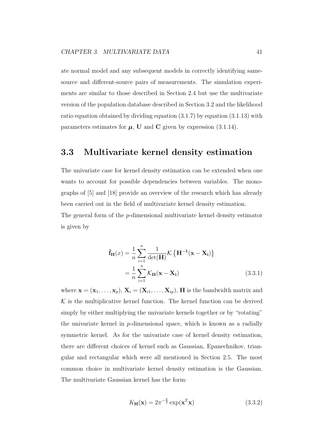ate normal model and any subsequent models in correctly identifying samesource and different-source pairs of measurements. The simulation experiments are similar to those described in Section 2.4 but use the multivariate version of the population database described in Section 3.2 and the likelihood ratio equation obtained by dividing equation (3.1.7) by equation (3.1.13) with parameters estimates for  $\mu$ , **U** and **C** given by expression (3.1.14).

### **3.3 Multivariate kernel density estimation**

The univariate case for kernel density estimation can be extended when one wants to account for possible dependencies between variables. The monographs of [5] and [18] provide an overview of the research which has already been carried out in the field of multivariate kernel density estimation. The general form of the *p*-dimensional multivariate kernel density estimator

is given by

$$
\hat{\mathbf{f}}_{\mathbf{H}}(x) = \frac{1}{n} \sum_{i=1}^{n} \frac{1}{\det(\mathbf{H})} \mathcal{K} \left\{ \mathbf{H}^{-1}(\mathbf{x} - \mathbf{X_i}) \right\}
$$
\n
$$
= \frac{1}{n} \sum_{i=1}^{n} \mathcal{K}_{\mathbf{H}}(\mathbf{x} - \mathbf{X_i}) \tag{3.3.1}
$$

where  $\mathbf{x} = (\mathbf{x}_1, \dots, \mathbf{x}_p), \mathbf{X}_i = (\mathbf{X}_{i1}, \dots, \mathbf{X}_{ip}), \mathbf{H}$  is the bandwidth matrix and  $K$  is the multiplicative kernel function. The kernel function can be derived simply by either multiplying the univariate kernels together or by "rotating" the univariate kernel in *p*-dimensional space, which is known as a radially symmetric kernel. As for the univariate case of kernel density estimation, there are different choices of kernel such as Gaussian, Epanechnikov, triangular and rectangular which were all mentioned in Section 2.5. The most common choice in multivariate kernel density estimation is the Gaussian. The multivariate Gaussian kernel has the form:

$$
K_{\mathbf{H}}(\mathbf{x}) = 2\pi^{-\frac{p}{2}} \exp(\mathbf{x}^T \mathbf{x})
$$
\n(3.3.2)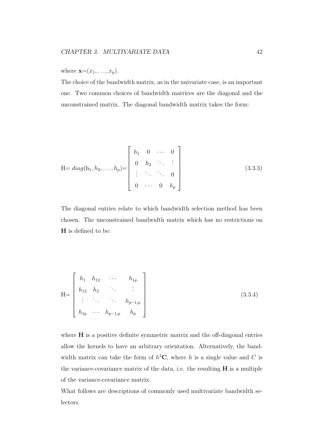where  $\mathbf{x}=(x_1,\ldots,x_p)$ .

The choice of the bandwidth matrix, as in the univariate case, is an important one. Two common choices of bandwidth matrices are the diagonal and the unconstrained matrix. The diagonal bandwidth matrix takes the form:

$$
\mathbf{H} = diag(\mathbf{h}_1, \mathbf{h}_2, \dots, \mathbf{h}_p) = \begin{bmatrix} h_1 & 0 & \cdots & 0 \\ 0 & h_2 & \ddots & \vdots \\ \vdots & \ddots & \ddots & 0 \\ 0 & \cdots & 0 & h_p \end{bmatrix}
$$
 (3.3.3)

The diagonal entries relate to which bandwidth selection method has been chosen. The unconstrained bandwidth matrix which has no restrictions on **H** is defined to be:

$$
H = \begin{bmatrix} h_1 & h_{12} & \cdots & h_{1p} \\ h_{12} & h_2 & \cdots & \vdots \\ \vdots & \ddots & \ddots & h_{p-1,p} \\ h_{1p} & \cdots & h_{p-1,p} & h_p \end{bmatrix}
$$
 (3.3.4)

where **H** is a positive definite symmetric matrix and the off-diagonal entries allow the kernels to have an arbitrary orientation. Alternatively, the bandwidth matrix can take the form of  $h^2$ **C**, where *h* is a single value and *C* is the variance-covariance matrix of the data, i.e. the resulting **H** is a multiple of the variance-covariance matrix.

What follows are descriptions of commonly used multivariate bandwidth selectors.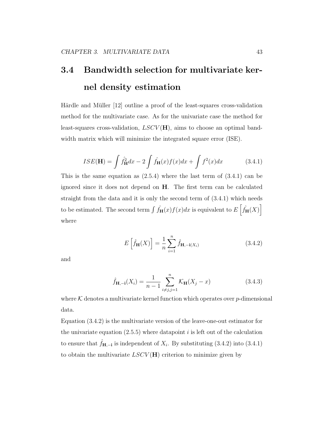# **3.4 Bandwidth selection for multivariate kernel density estimation**

Härdle and Müller [12] outline a proof of the least-squares cross-validation method for the multivariate case. As for the univariate case the method for least-squares cross-validation, *LSCV* (**H**), aims to choose an optimal bandwidth matrix which will minimize the integrated square error (ISE).

$$
ISE(\mathbf{H}) = \int \hat{f}_{\mathbf{H}}^2 dx - 2 \int \hat{f}_{\mathbf{H}}(x) f(x) dx + \int f^2(x) dx \tag{3.4.1}
$$

This is the same equation as  $(2.5.4)$  where the last term of  $(3.4.1)$  can be ignored since it does not depend on **H**. The first term can be calculated straight from the data and it is only the second term of (3.4.1) which needs to be estimated. The second term  $\int \hat{f}_{\mathbf{H}}(x) f(x) dx$  is equivalent to  $E\left[\hat{f}_{\mathbf{H}}(X)\right]$ where

$$
E\left[\hat{f}_{\mathbf{H}}(X)\right] = \frac{1}{n} \sum_{i=1}^{n} \hat{f}_{\mathbf{H}, -\mathbf{i}(X_i)} \tag{3.4.2}
$$

and

$$
\hat{f}_{\mathbf{H}, -\mathbf{i}}(X_i) = \frac{1}{n-1} \sum_{i \neq j, j=1}^n \mathcal{K}_{\mathbf{H}}(X_j - x)
$$
(3.4.3)

where  $K$  denotes a multivariate kernel function which operates over  $p$ -dimensional data.

Equation (3.4.2) is the multivariate version of the leave-one-out estimator for the univariate equation  $(2.5.5)$  where datapoint *i* is left out of the calculation to ensure that  $\hat{f}_{\mathbf{H}, -\mathbf{i}}$  is independent of  $X_i$ . By substituting (3.4.2) into (3.4.1) to obtain the multivariate *LSCV* (**H**) criterion to minimize given by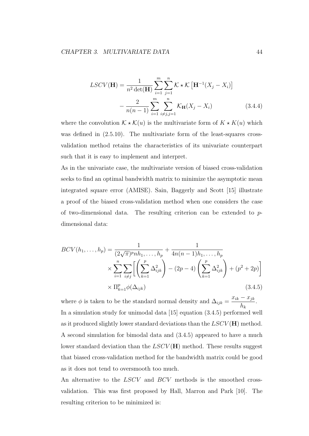$$
LSCV(\mathbf{H}) = \frac{1}{n^2 \det(\mathbf{H})} \sum_{i=1}^{m} \sum_{j=1}^{n} \mathcal{K} \star \mathcal{K} \left[ \mathbf{H}^{-1} (X_j - X_i) \right]
$$

$$
- \frac{2}{n(n-1)} \sum_{i=1}^{m} \sum_{i \neq j, j=1}^{n} \mathcal{K}_{\mathbf{H}} (X_j - X_i)
$$
(3.4.4)

where the convolution  $K \star \mathcal{K}(u)$  is the multivariate form of  $K \star K(u)$  which was defined in  $(2.5.10)$ . The multivariate form of the least-squares crossvalidation method retains the characteristics of its univariate counterpart such that it is easy to implement and interpret.

As in the univariate case, the multivariate version of biased cross-validation seeks to find an optimal bandwidth matrix to minimize the asymptotic mean integrated square error (AMISE). Sain, Baggerly and Scott [15] illustrate a proof of the biased cross-validation method when one considers the case of two-dimensional data. The resulting criterion can be extended to *p*dimensional data:

$$
BCV(h_1, ..., h_p) = \frac{1}{(2\sqrt{\pi})^p nh_1, ..., h_p} + \frac{1}{4n(n-1)h_1, ..., h_p}
$$
  
 
$$
\times \sum_{i=1}^n \sum_{i \neq j} \left[ \left( \sum_{k=1}^p \Delta_{ijk}^2 \right) - (2p-4) \left( \sum_{k=1}^p \Delta_{ijk}^2 \right) + (p^2 + 2p) \right]
$$
  
 
$$
\times \prod_{k=1}^p \phi(\Delta_{ijk})
$$
(3.4.5)

where  $\phi$  is taken to be the standard normal density and  $\Delta_{ijk} =$  $x_{ik} - x_{jk}$ *hk* . In a simulation study for unimodal data [15] equation (3.4.5) performed well as it produced slightly lower standard deviations than the *LSCV* (**H**) method. A second simulation for bimodal data and (3.4.5) appeared to have a much lower standard deviation than the *LSCV* (**H**) method. These results suggest that biased cross-validation method for the bandwidth matrix could be good as it does not tend to oversmooth too much.

An alternative to the *LSCV* and *BCV* methods is the smoothed crossvalidation. This was first proposed by Hall, Marron and Park [10]. The resulting criterion to be minimized is: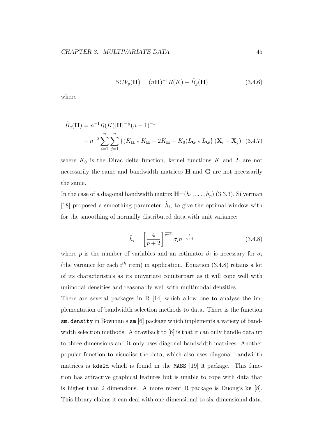$$
SCV_g(\mathbf{H}) = (n\mathbf{H})^{-1}R(K) + \hat{B}_g(\mathbf{H})
$$
\n(3.4.6)

where

$$
\hat{B}_g(\mathbf{H}) = n^{-1} R(K) |\mathbf{H}|^{-\frac{1}{2}} (n-1)^{-1}
$$
  
+ 
$$
n^{-2} \sum_{i=1}^n \sum_{j=1}^n \left\{ (K_{\mathbf{H}} \star K_{\mathbf{H}} - 2K_{\mathbf{H}} + K_0) L_{\mathbf{G}} \star L_{\mathbf{G}} \right\} (\mathbf{X}_i - \mathbf{X}_j) \tag{3.4.7}
$$

where  $K_0$  is the Dirac delta function, kernel functions  $K$  and  $L$  are not necessarily the same and bandwidth matrices **H** and **G** are not necessarily the same.

In the case of a diagonal bandwidth matrix  $\mathbf{H}=(h_1,\ldots,h_p)$  (3.3.3), Silverman [18] proposed a smoothing parameter,  $\hat{h}_i$ , to give the optimal window with for the smoothing of normally distributed data with unit variance:

$$
\hat{h}_i = \left[\frac{4}{p+2}\right]^{\frac{1}{p+4}} \sigma_i n^{-\frac{1}{p+4}} \tag{3.4.8}
$$

where *p* is the number of variables and an estimator  $\hat{\sigma_i}$  is necessary for  $\sigma_i$ (the variance for each  $i^{th}$  item) in application. Equation  $(3.4.8)$  retains a lot of its characteristics as its univariate counterpart as it will cope well with unimodal densities and reasonably well with multimodal densities.

There are several packages in R [14] which allow one to analyse the implementation of bandwidth selection methods to data. There is the function sm.density in Bowman's sm [6] package which implements a variety of bandwidth selection methods. A drawback to  $[6]$  is that it can only handle data up to three dimensions and it only uses diagonal bandwidth matrices. Another popular function to visualise the data, which also uses diagonal bandwidth matrices is kde2d which is found in the MASS [19] R package. This function has attractive graphical features but is unable to cope with data that is higher than 2 dimensions. A more recent R package is Duong's ks [8]. This library claims it can deal with one-dimensional to six-dimensional data.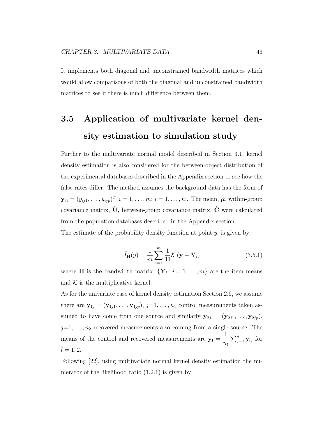It implements both diagonal and unconstrained bandwidth matrices which would allow comparisons of both the diagonal and unconstrained bandwidth matrices to see if there is much difference between them.

# **3.5 Application of multivariate kernel density estimation to simulation study**

Further to the multivariate normal model described in Section 3.1, kernel density estimation is also considered for the between-object distribution of the experimental databases described in the Appendix section to see how the false rates differ. The method assumes the background data has the form of  $\mathbf{y}_{ij} = (y_{ij1}, \ldots, y_{ijp})^T; i = 1, \ldots, m; j = 1, \ldots, n;$ . The mean,  $\hat{\boldsymbol{\mu}}$ , within-group covariance matrix,  $\hat{\mathbf{U}}$ , between-group covariance matrix,  $\hat{\mathbf{C}}$  were calculated from the population databases described in the Appendix section. The estimate of the probability density function at point  $y_i$  is given by:

$$
\hat{f}_{\mathbf{H}}(y) = \frac{1}{m} \sum_{i=1}^{m} \frac{1}{H} \mathcal{K} \left( \mathbf{y} - \mathbf{Y}_i \right)
$$
\n(3.5.1)

where **H** is the bandwidth matrix,  ${\bf Y}_i : i = 1, \ldots, m$  are the item means and  $K$  is the multiplicative kernel.

As for the univariate case of kernel density estimation Section 2.6, we assume there are  $\mathbf{y}_{1j} = (\mathbf{y}_{1j1}, \dots, \mathbf{y}_{1jp}), j=1, \dots, n_1$  control measurements taken assumed to have come from one source and similarly  $\mathbf{y}_{2j} = (\mathbf{y}_{2j1}, \ldots, \mathbf{y}_{2jp}),$  $j=1,\ldots,n_2$  recovered measurements also coming from a single source. The means of the control and recovered measurements are  $\bar{y}_1$  = 1 *nl*  $\sum_{j=1}^{n_l}$ **y**<sub>*lj*</sub> for  $l = 1, 2.$ 

Following [22], using multivariate normal kernel density estimation the numerator of the likelihood ratio (1.2.1) is given by: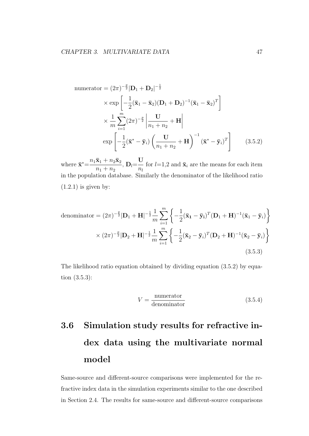numerator = 
$$
(2\pi)^{-\frac{p}{2}}|\mathbf{D}_1 + \mathbf{D}_2|^{-\frac{1}{2}}
$$
  
\n $\times \exp\left[-\frac{1}{2}(\bar{\mathbf{x}}_1 - \bar{\mathbf{x}}_2)(\mathbf{D}_1 + \mathbf{D}_2)^{-1}(\bar{\mathbf{x}}_1 - \bar{\mathbf{x}}_2)^T\right]$   
\n $\times \frac{1}{m}\sum_{i=1}^{m}(2\pi)^{-\frac{p}{2}}\left|\frac{\mathbf{U}}{n_1 + n_2} + \mathbf{H}\right|$   
\n $\exp\left[-\frac{1}{2}(\bar{\mathbf{x}}^* - \bar{\mathbf{y}}_i)\left(\frac{\mathbf{U}}{n_1 + n_2} + \mathbf{H}\right)^{-1}(\bar{\mathbf{x}}^* - \bar{\mathbf{y}}_i)^T\right]$  (3.5.2)

where  $\bar{\mathbf{x}}^* = \frac{n_1 \bar{\mathbf{x}}_1 + n_2 \bar{\mathbf{x}}_2}{\bar{\mathbf{x}}_1 + n_3 \bar{\mathbf{x}}_2}$  $n_1 + n_2$  $, D_l =$ **U** *nl* for  $l=1,2$  and  $\bar{\mathbf{x}}_i$  are the means for each item in the population database. Similarly the denominator of the likelihood ratio  $(1.2.1)$  is given by:

denominator = 
$$
(2\pi)^{-\frac{p}{2}}|\mathbf{D}_1 + \mathbf{H}|^{-\frac{1}{2}}\frac{1}{m}\sum_{i=1}^m \left\{-\frac{1}{2}(\bar{\mathbf{x}}_1 - \bar{\mathbf{y}}_i)^T(\mathbf{D}_1 + \mathbf{H})^{-1}(\bar{\mathbf{x}}_1 - \bar{\mathbf{y}}_i)\right\}
$$
  
  $\times (2\pi)^{-\frac{p}{2}}|\mathbf{D}_2 + \mathbf{H}|^{-\frac{1}{2}}\frac{1}{m}\sum_{i=1}^m \left\{-\frac{1}{2}(\bar{\mathbf{x}}_2 - \bar{\mathbf{y}}_i)^T(\mathbf{D}_2 + \mathbf{H})^{-1}(\bar{\mathbf{x}}_2 - \bar{\mathbf{y}}_i)\right\}$  (3.5.3)

The likelihood ratio equation obtained by dividing equation (3.5.2) by equation (3.5.3):

$$
V = \frac{\text{numerator}}{\text{denominator}} \tag{3.5.4}
$$

# **3.6 Simulation study results for refractive index data using the multivariate normal model**

Same-source and different-source comparisons were implemented for the refractive index data in the simulation experiments similar to the one described in Section 2.4. The results for same-source and different-source comparisons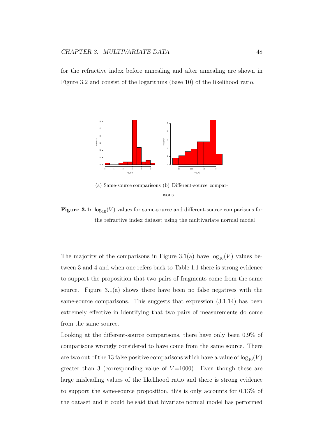for the refractive index before annealing and after annealing are shown in Figure 3.2 and consist of the logarithms (base 10) of the likelihood ratio.



**Figure 3.1:**  $\log_{10}(V)$  values for same-source and different-source comparisons for the refractive index dataset using the multivariate normal model

The majority of the comparisons in Figure 3.1(a) have  $log_{10}(V)$  values between 3 and 4 and when one refers back to Table 1.1 there is strong evidence to support the proposition that two pairs of fragments come from the same source. Figure 3.1(a) shows there have been no false negatives with the same-source comparisons. This suggests that expression (3.1.14) has been extremely effective in identifying that two pairs of measurements do come from the same source.

Looking at the different-source comparisons, there have only been 0.9% of comparisons wrongly considered to have come from the same source. There are two out of the 13 false positive comparisons which have a value of  $log_{10}(V)$ greater than 3 (corresponding value of  $V=1000$ ). Even though these are large misleading values of the likelihood ratio and there is strong evidence to support the same-source proposition, this is only accounts for 0.13% of the dataset and it could be said that bivariate normal model has performed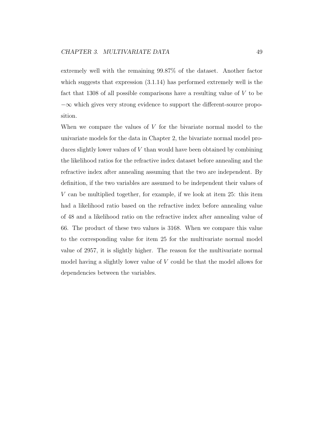extremely well with the remaining 99.87% of the dataset. Another factor which suggests that expression  $(3.1.14)$  has performed extremely well is the fact that 1308 of all possible comparisons have a resulting value of *V* to be *−∞* which gives very strong evidence to support the different-source proposition.

When we compare the values of *V* for the bivariate normal model to the univariate models for the data in Chapter 2, the bivariate normal model produces slightly lower values of *V* than would have been obtained by combining the likelihood ratios for the refractive index dataset before annealing and the refractive index after annealing assuming that the two are independent. By definition, if the two variables are assumed to be independent their values of *V* can be multiplied together, for example, if we look at item 25: this item had a likelihood ratio based on the refractive index before annealing value of 48 and a likelihood ratio on the refractive index after annealing value of 66. The product of these two values is 3168. When we compare this value to the corresponding value for item 25 for the multivariate normal model value of 2957, it is slightly higher. The reason for the multivariate normal model having a slightly lower value of *V* could be that the model allows for dependencies between the variables.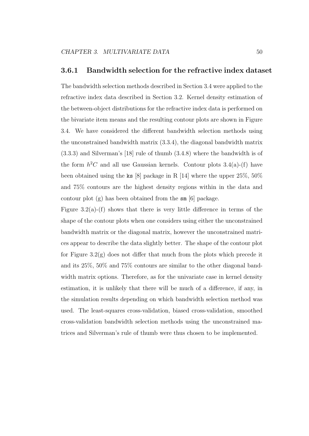#### **3.6.1 Bandwidth selection for the refractive index dataset**

The bandwidth selection methods described in Section 3.4 were applied to the refractive index data described in Section 3.2. Kernel density estimation of the between-object distributions for the refractive index data is performed on the bivariate item means and the resulting contour plots are shown in Figure 3.4. We have considered the different bandwidth selection methods using the unconstrained bandwidth matrix (3.3.4), the diagonal bandwidth matrix (3.3.3) and Silverman's [18] rule of thumb (3.4.8) where the bandwidth is of the form  $h^2C$  and all use Gaussian kernels. Contour plots  $3.4(a)-(f)$  have been obtained using the ks [8] package in R [14] where the upper 25%, 50% and 75% contours are the highest density regions within in the data and contour plot (g) has been obtained from the sm [6] package.

Figure 3.2(a)-(f) shows that there is very little difference in terms of the shape of the contour plots when one considers using either the unconstrained bandwidth matrix or the diagonal matrix, however the unconstrained matrices appear to describe the data slightly better. The shape of the contour plot for Figure  $3.2(g)$  does not differ that much from the plots which precede it and its 25%, 50% and 75% contours are similar to the other diagonal bandwidth matrix options. Therefore, as for the univariate case in kernel density estimation, it is unlikely that there will be much of a difference, if any, in the simulation results depending on which bandwidth selection method was used. The least-squares cross-validation, biased cross-validation, smoothed cross-validation bandwidth selection methods using the unconstrained matrices and Silverman's rule of thumb were thus chosen to be implemented.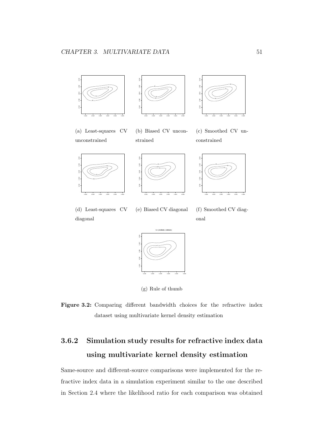



(a) Least-squares CV unconstrained

(b) Biased CV unconstrained





(e) Biased CV diagonal

1.516 1.518 1.520 1.522 1.524 1.526 1.516 1.518 1.520 1.522 1.524 25 50 -75 -

(c) Smoothed CV unconstrained



(d) Least-squares CV diagonal





(g) Rule of thumb



### **3.6.2 Simulation study results for refractive index data using multivariate kernel density estimation**

Same-source and different-source comparisons were implemented for the refractive index data in a simulation experiment similar to the one described in Section 2.4 where the likelihood ratio for each comparison was obtained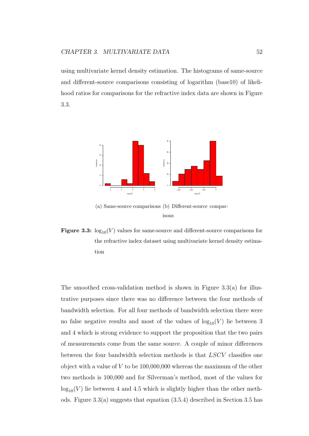using multivariate kernel density estimation. The histograms of same-source and different-source comparisons consisting of logarithm (base10) of likelihood ratios for comparisons for the refractive index data are shown in Figure 3.3.



(a) Same-source comparisons (b) Different-source comparisons

**Figure 3.3:**  $log_{10}(V)$  values for same-source and different-source comparisons for the refractive index dataset using multivariate kernel density estimation

The smoothed cross-validation method is shown in Figure 3.3(a) for illustrative purposes since there was no difference between the four methods of bandwidth selection. For all four methods of bandwidth selection there were no false negative results and most of the values of  $log_{10}(V)$  lie between 3 and 4 which is strong evidence to support the proposition that the two pairs of measurements come from the same source. A couple of minor differences between the four bandwidth selection methods is that *LSCV* classifies one object with a value of *V* to be 100,000,000 whereas the maximum of the other two methods is 100,000 and for Silverman's method, most of the values for  $log_{10}(V)$  lie between 4 and 4.5 which is slightly higher than the other methods. Figure 3.3(a) suggests that equation (3.5.4) described in Section 3.5 has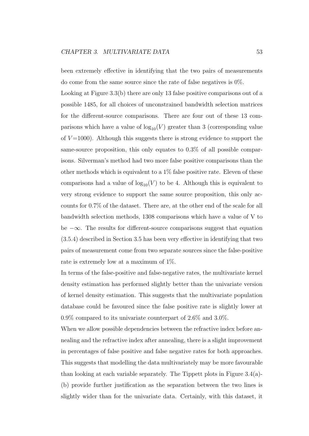been extremely effective in identifying that the two pairs of measurements do come from the same source since the rate of false negatives is 0%.

Looking at Figure 3.3(b) there are only 13 false positive comparisons out of a possible 1485, for all choices of unconstrained bandwidth selection matrices for the different-source comparisons. There are four out of these 13 comparisons which have a value of  $log_{10}(V)$  greater than 3 (corresponding value of  $V=1000$ ). Although this suggests there is strong evidence to support the same-source proposition, this only equates to 0.3% of all possible comparisons. Silverman's method had two more false positive comparisons than the other methods which is equivalent to a 1% false positive rate. Eleven of these comparisons had a value of  $log_{10}(V)$  to be 4. Although this is equivalent to very strong evidence to support the same source proposition, this only accounts for 0.7% of the dataset. There are, at the other end of the scale for all bandwidth selection methods, 1308 comparisons which have a value of V to be *−∞*. The results for different-source comparisons suggest that equation (3.5.4) described in Section 3.5 has been very effective in identifying that two pairs of measurement come from two separate sources since the false-positive rate is extremely low at a maximum of 1%.

In terms of the false-positive and false-negative rates, the multivariate kernel density estimation has performed slightly better than the univariate version of kernel density estimation. This suggests that the multivariate population database could be favoured since the false positive rate is slightly lower at 0.9% compared to its univariate counterpart of 2.6% and 3.0%.

When we allow possible dependencies between the refractive index before annealing and the refractive index after annealing, there is a slight improvement in percentages of false positive and false negative rates for both approaches. This suggests that modelling the data multivariately may be more favourable than looking at each variable separately. The Tippett plots in Figure 3.4(a)- (b) provide further justification as the separation between the two lines is slightly wider than for the univariate data. Certainly, with this dataset, it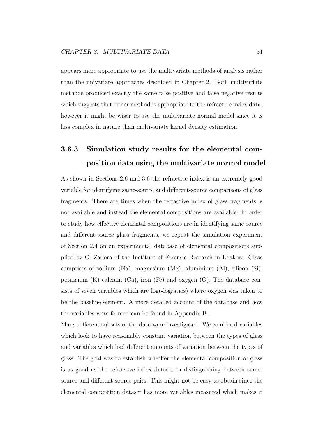appears more appropriate to use the multivariate methods of analysis rather than the univariate approaches described in Chapter 2. Both multivariate methods produced exactly the same false positive and false negative results which suggests that either method is appropriate to the refractive index data, however it might be wiser to use the multivariate normal model since it is less complex in nature than multivariate kernel density estimation.

### **3.6.3 Simulation study results for the elemental composition data using the multivariate normal model**

As shown in Sections 2.6 and 3.6 the refractive index is an extremely good variable for identifying same-source and different-source comparisons of glass fragments. There are times when the refractive index of glass fragments is not available and instead the elemental compositions are available. In order to study how effective elemental compositions are in identifying same-source and different-source glass fragments, we repeat the simulation experiment of Section 2.4 on an experimental database of elemental compositions supplied by G. Zadora of the Institute of Forensic Research in Krakow. Glass comprises of sodium (Na), magnesium (Mg), aluminium (Al), silicon (Si), potassium  $(K)$  calcium  $(Ca)$ , iron  $(Fe)$  and oxygen  $(O)$ . The database consists of seven variables which are log(-logratios) where oxygen was taken to be the baseline element. A more detailed account of the database and how the variables were formed can be found in Appendix B.

Many different subsets of the data were investigated. We combined variables which look to have reasonably constant variation between the types of glass and variables which had different amounts of variation between the types of glass. The goal was to establish whether the elemental composition of glass is as good as the refractive index dataset in distinguishing between samesource and different-source pairs. This might not be easy to obtain since the elemental composition dataset has more variables measured which makes it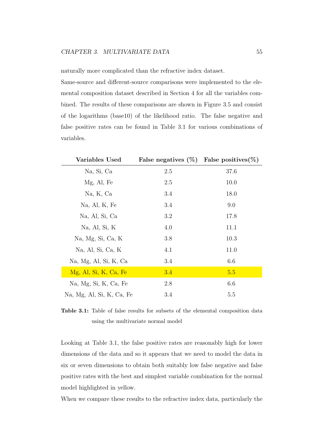naturally more complicated than the refractive index dataset.

Same-source and different-source comparisons were implemented to the elemental composition dataset described in Section 4 for all the variables combined. The results of these comparisons are shown in Figure 3.5 and consist of the logarithms (base10) of the likelihood ratio. The false negative and false positive rates can be found in Table 3.1 for various combinations of variables.

| Variables Used            | False negatives $(\%)$ False positives $(\%)$ |      |
|---------------------------|-----------------------------------------------|------|
| Na, Si, Ca                | 2.5                                           | 37.6 |
| Mg, Al, Fe                | 2.5                                           | 10.0 |
| Na, K, Ca                 | 3.4                                           | 18.0 |
| Na, Al, K, Fe             | 3.4                                           | 9.0  |
| Na, Al, Si, Ca            | 3.2                                           | 17.8 |
| Na, Al, Si, K             | 4.0                                           | 11.1 |
| Na, Mg, Si, Ca, K         | 3.8                                           | 10.3 |
| Na, Al, Si, Ca, K         | 4.1                                           | 11.0 |
| Na, Mg, Al, Si, K, Ca     | 3.4                                           | 6.6  |
| Mg, Al, Si, K, Ca, Fe     | 3.4                                           | 5.5  |
| Na, Mg, Si, K, Ca, Fe     | 2.8                                           | 6.6  |
| Na, Mg, Al, Si, K, Ca, Fe | 3.4                                           | 5.5  |

**Table 3.1:** Table of false results for subsets of the elemental composition data using the multivariate normal model

Looking at Table 3.1, the false positive rates are reasonably high for lower dimensions of the data and so it appears that we need to model the data in six or seven dimensions to obtain both suitably low false negative and false positive rates with the best and simplest variable combination for the normal model highlighted in yellow.

When we compare these results to the refractive index data, particularly the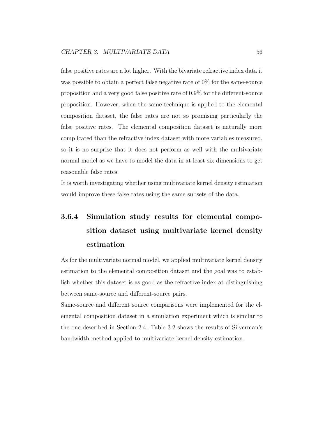false positive rates are a lot higher. With the bivariate refractive index data it was possible to obtain a perfect false negative rate of 0% for the same-source proposition and a very good false positive rate of 0.9% for the different-source proposition. However, when the same technique is applied to the elemental composition dataset, the false rates are not so promising particularly the false positive rates. The elemental composition dataset is naturally more complicated than the refractive index dataset with more variables measured, so it is no surprise that it does not perform as well with the multivariate normal model as we have to model the data in at least six dimensions to get reasonable false rates.

It is worth investigating whether using multivariate kernel density estimation would improve these false rates using the same subsets of the data.

### **3.6.4 Simulation study results for elemental composition dataset using multivariate kernel density estimation**

As for the multivariate normal model, we applied multivariate kernel density estimation to the elemental composition dataset and the goal was to establish whether this dataset is as good as the refractive index at distinguishing between same-source and different-source pairs.

Same-source and different source comparisons were implemented for the elemental composition dataset in a simulation experiment which is similar to the one described in Section 2.4. Table 3.2 shows the results of Silverman's bandwidth method applied to multivariate kernel density estimation.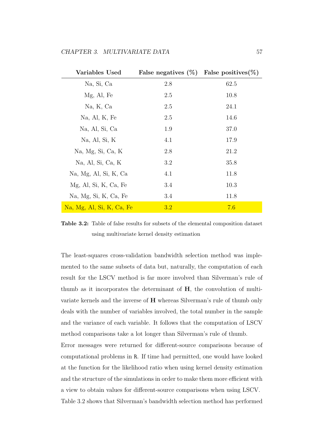| Variables Used            | False negatives $(\%)$ False positives $(\%)$ |      |
|---------------------------|-----------------------------------------------|------|
| Na, Si, Ca                | 2.8                                           | 62.5 |
| Mg, Al, Fe                | 2.5                                           | 10.8 |
| Na, K, Ca                 | 2.5                                           | 24.1 |
| Na, Al, K, Fe             | 2.5                                           | 14.6 |
| Na, Al, Si, Ca            | 1.9                                           | 37.0 |
| Na, Al, Si, K             | 4.1                                           | 17.9 |
| Na, Mg, Si, Ca, K         | 2.8                                           | 21.2 |
| Na, Al, Si, Ca, K         | 3.2                                           | 35.8 |
| Na, Mg, Al, Si, K, Ca     | 4.1                                           | 11.8 |
| Mg, Al, Si, K, Ca, Fe     | 3.4                                           | 10.3 |
| Na, Mg, Si, K, Ca, Fe     | 3.4                                           | 11.8 |
| Na, Mg, Al, Si, K, Ca, Fe | 3.2                                           | 7.6  |

**Table 3.2:** Table of false results for subsets of the elemental composition dataset using multivariate kernel density estimation

The least-squares cross-validation bandwidth selection method was implemented to the same subsets of data but, naturally, the computation of each result for the LSCV method is far more involved than Silverman's rule of thumb as it incorporates the determinant of **H**, the convolution of multivariate kernels and the inverse of **H** whereas Silverman's rule of thumb only deals with the number of variables involved, the total number in the sample and the variance of each variable. It follows that the computation of LSCV method comparisons take a lot longer than Silverman's rule of thumb.

Error messages were returned for different-source comparisons because of computational problems in R. If time had permitted, one would have looked at the function for the likelihood ratio when using kernel density estimation and the structure of the simulations in order to make them more efficient with a view to obtain values for different-source comparisons when using LSCV. Table 3.2 shows that Silverman's bandwidth selection method has performed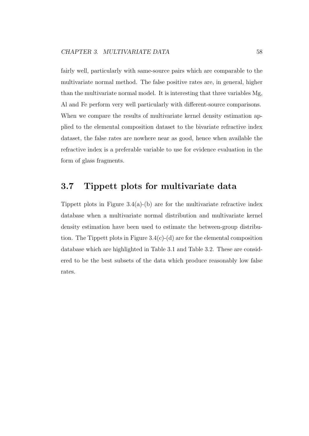fairly well, particularly with same-source pairs which are comparable to the multivariate normal method. The false positive rates are, in general, higher than the multivariate normal model. It is interesting that three variables Mg, Al and Fe perform very well particularly with different-source comparisons. When we compare the results of multivariate kernel density estimation applied to the elemental composition dataset to the bivariate refractive index dataset, the false rates are nowhere near as good, hence when available the refractive index is a preferable variable to use for evidence evaluation in the form of glass fragments.

### **3.7 Tippett plots for multivariate data**

Tippett plots in Figure  $3.4(a)$ -(b) are for the multivariate refractive index database when a multivariate normal distribution and multivariate kernel density estimation have been used to estimate the between-group distribution. The Tippett plots in Figure 3.4(c)-(d) are for the elemental composition database which are highlighted in Table 3.1 and Table 3.2. These are considered to be the best subsets of the data which produce reasonably low false rates.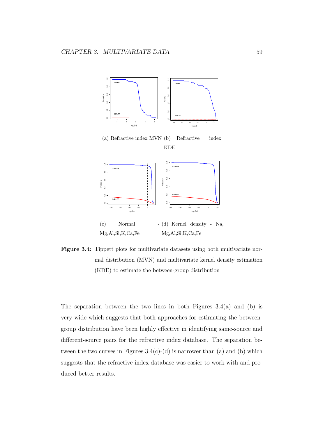



Figure 3.4: Tippett plots for multivariate datasets using both multivariate normal distribution (MVN) and multivariate kernel density estimation (KDE) to estimate the between-group distribution

The separation between the two lines in both Figures  $3.4(a)$  and (b) is very wide which suggests that both approaches for estimating the betweengroup distribution have been highly effective in identifying same-source and different-source pairs for the refractive index database. The separation between the two curves in Figures  $3.4(c)$ -(d) is narrower than (a) and (b) which suggests that the refractive index database was easier to work with and produced better results.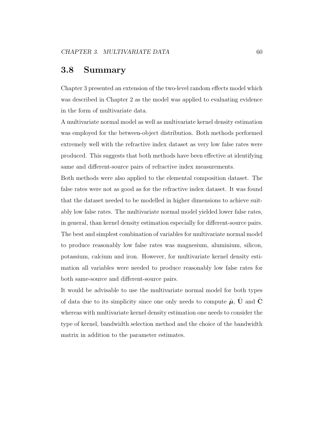### **3.8 Summary**

Chapter 3 presented an extension of the two-level random effects model which was described in Chapter 2 as the model was applied to evaluating evidence in the form of multivariate data.

A multivariate normal model as well as multivariate kernel density estimation was employed for the between-object distribution. Both methods performed extremely well with the refractive index dataset as very low false rates were produced. This suggests that both methods have been effective at identifying same and different-source pairs of refractive index measurements.

Both methods were also applied to the elemental composition dataset. The false rates were not as good as for the refractive index dataset. It was found that the dataset needed to be modelled in higher dimensions to achieve suitably low false rates. The multivariate normal model yielded lower false rates, in general, than kernel density estimation especially for different-source pairs. The best and simplest combination of variables for multivariate normal model to produce reasonably low false rates was magnesium, aluminium, silicon, potassium, calcium and iron. However, for multivariate kernel density estimation all variables were needed to produce reasonably low false rates for both same-source and different-source pairs.

It would be advisable to use the multivariate normal model for both types of data due to its simplicity since one only needs to compute  $\hat{\mu}$ , **U** and **C** whereas with multivariate kernel density estimation one needs to consider the type of kernel, bandwidth selection method and the choice of the bandwidth matrix in addition to the parameter estimates.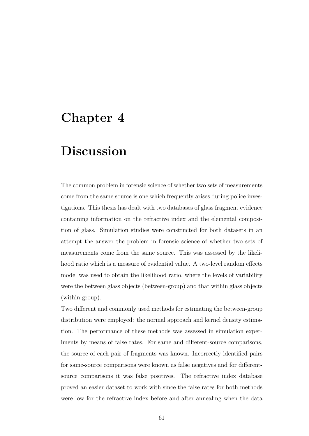# **Chapter 4**

# **Discussion**

The common problem in forensic science of whether two sets of measurements come from the same source is one which frequently arises during police investigations. This thesis has dealt with two databases of glass fragment evidence containing information on the refractive index and the elemental composition of glass. Simulation studies were constructed for both datasets in an attempt the answer the problem in forensic science of whether two sets of measurements come from the same source. This was assessed by the likelihood ratio which is a measure of evidential value. A two-level random effects model was used to obtain the likelihood ratio, where the levels of variability were the between glass objects (between-group) and that within glass objects (within-group).

Two different and commonly used methods for estimating the between-group distribution were employed: the normal approach and kernel density estimation. The performance of these methods was assessed in simulation experiments by means of false rates. For same and different-source comparisons, the source of each pair of fragments was known. Incorrectly identified pairs for same-source comparisons were known as false negatives and for differentsource comparisons it was false positives. The refractive index database proved an easier dataset to work with since the false rates for both methods were low for the refractive index before and after annealing when the data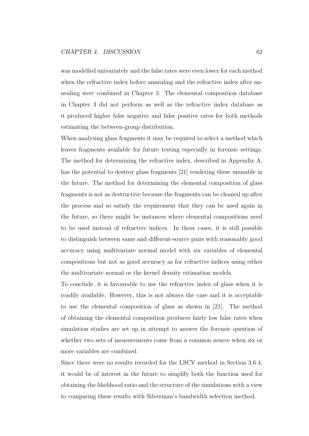was modelled univariately and the false rates were even lower for each method when the refractive index before annealing and the refractive index after annealing were combined in Chapter 3. The elemental composition database in Chapter 3 did not perform as well as the refractive index database as it produced higher false negative and false positive rates for both methods estimating the between-group distribution.

When analysing glass fragments it may be required to select a method which leaves fragments available for future testing especially in forensic settings. The method for determining the refractive index, described in Appendix A, has the potential to destroy glass fragments [21] rendering these unusable in the future. The method for determining the elemental composition of glass fragments is not as destructive because the fragments can be cleaned up after the process and so satisfy the requirement that they can be used again in the future, so there might be instances where elemental compositions need to be used instead of refractive indices. In these cases, it is still possible to distinguish between same and different-source pairs with reasonably good accuracy using multivariate normal model with six variables of elemental compositions but not as good accuracy as for refractive indices using either the multivariate normal or the kernel density estimation models.

To conclude, it is favourable to use the refractive index of glass when it is readily available. However, this is not always the case and it is acceptable to use the elemental composition of glass as shown in [21]. The method of obtaining the elemental composition produces fairly low false rates when simulation studies are set up in attempt to answer the forensic question of whether two sets of measurements come from a common source when six or more variables are combined.

Since there were no results recorded for the LSCV method in Section 3.6.4, it would be of interest in the future to simplify both the function used for obtaining the likelihood ratio and the structure of the simulations with a view to comparing these results with Silverman's bandwidth selection method.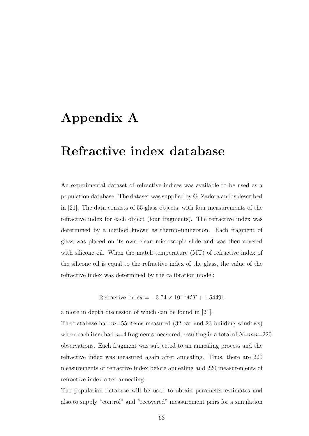# **Appendix A**

# **Refractive index database**

An experimental dataset of refractive indices was available to be used as a population database. The dataset was supplied by G. Zadora and is described in [21]. The data consists of 55 glass objects, with four measurements of the refractive index for each object (four fragments). The refractive index was determined by a method known as thermo-immersion. Each fragment of glass was placed on its own clean microscopic slide and was then covered with silicone oil. When the match temperature (MT) of refractive index of the silicone oil is equal to the refractive index of the glass, the value of the refractive index was determined by the calibration model:

Refractive Index =  $-3.74 \times 10^{-4} M T + 1.54491$ 

a more in depth discussion of which can be found in [21].

The database had *m*=55 items measured (32 car and 23 building windows) where each item had  $n=4$  fragments measured, resulting in a total of  $N=mn=220$ observations. Each fragment was subjected to an annealing process and the refractive index was measured again after annealing. Thus, there are 220 measurements of refractive index before annealing and 220 measurements of refractive index after annealing.

The population database will be used to obtain parameter estimates and also to supply "control" and "recovered" measurement pairs for a simulation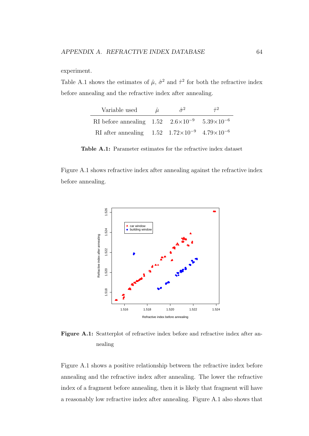experiment.

Table A.1 shows the estimates of  $\hat{\mu}$ ,  $\hat{\sigma}^2$  and  $\hat{\tau}^2$  for both the refractive index before annealing and the refractive index after annealing.

| Variable used                                                                 | Ĥ. | $\hat{\sigma}^2$ | $\hat{\tau}^2$ |
|-------------------------------------------------------------------------------|----|------------------|----------------|
| RI before annealing $1.52 \quad 2.6 \times 10^{-9} \quad 5.39 \times 10^{-6}$ |    |                  |                |
| RI after annealing $1.52 \quad 1.72 \times 10^{-9} \quad 4.79 \times 10^{-6}$ |    |                  |                |

**Table A.1:** Parameter estimates for the refractive index dataset

Figure A.1 shows refractive index after annealing against the refractive index before annealing.



**Figure A.1:** Scatterplot of refractive index before and refractive index after annealing

Figure A.1 shows a positive relationship between the refractive index before annealing and the refractive index after annealing. The lower the refractive index of a fragment before annealing, then it is likely that fragment will have a reasonably low refractive index after annealing. Figure A.1 also shows that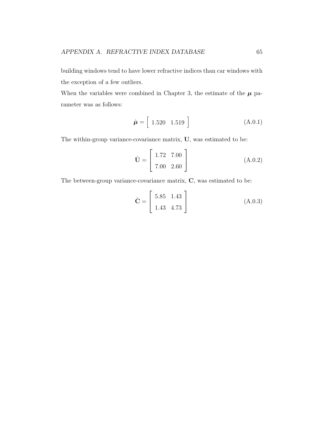building windows tend to have lower refractive indices than car windows with the exception of a few outliers.

When the variables were combined in Chapter 3, the estimate of the  $\mu$  parameter was as follows:

$$
\hat{\boldsymbol{\mu}} = \left[ \begin{array}{cc} 1.520 & 1.519 \end{array} \right] \tag{A.0.1}
$$

The within-group variance-covariance matrix, **U**, was estimated to be:

$$
\hat{\mathbf{U}} = \begin{bmatrix} 1.72 & 7.00 \\ 7.00 & 2.60 \end{bmatrix}
$$
 (A.0.2)

The between-group variance-covariance matrix, **C**, was estimated to be:

$$
\hat{\mathbf{C}} = \begin{bmatrix} 5.85 & 1.43 \\ 1.43 & 4.73 \end{bmatrix}
$$
 (A.0.3)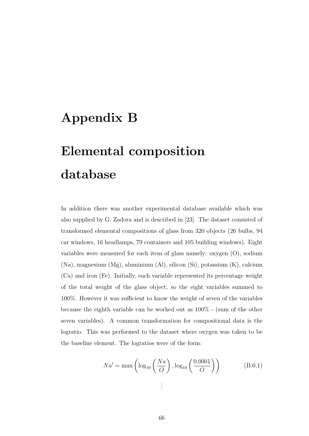## **Appendix B**

## **Elemental composition database**

In addition there was another experimental database available which was also supplied by G. Zadora and is described in [23]. The dataset consisted of transformed elemental compositions of glass from 320 objects (26 bulbs, 94 car windows, 16 headlamps, 79 containers and 105 building windows). Eight variables were measured for each item of glass namely: oxygen (O), sodium (Na), magnesium (Mg), aluminium (Al), silicon (Si), potassium (K), calcium (Ca) and iron (Fe). Initially, each variable represented its percentage weight of the total weight of the glass object, so the eight variables summed to 100%. However it was sufficient to know the weight of seven of the variables because the eighth variable can be worked out as 100% - (sum of the other seven variables). A common transformation for compositional data is the logratio. This was performed to the dataset where oxygen was taken to be the baseline element. The logratios were of the form:

$$
Na' = \max\left(\log_{10}\left(\frac{Na}{O}\right), \log_{10}\left(\frac{0.0001}{O}\right)\right)
$$
 (B.0.1)  
...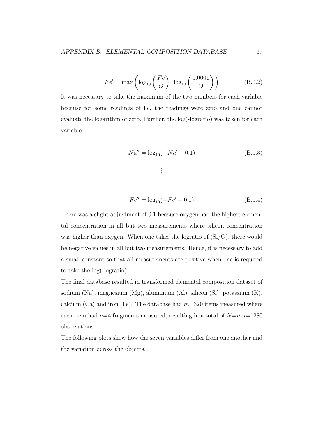$$
Fe' = \max\left(\log_{10}\left(\frac{Fe}{O}\right), \log_{10}\left(\frac{0.0001}{O}\right)\right) \tag{B.0.2}
$$

It was necessary to take the maximum of the two numbers for each variable because for some readings of Fe, the readings were zero and one cannot evaluate the logarithm of zero. Further, the log(-logratio) was taken for each variable:

$$
Na'' = \log_{10}(-Na' + 0.1)
$$
\n
$$
\vdots
$$
\n(B.0.3)

$$
Fe'' = \log_{10}(-Fe' + 0.1) \tag{B.0.4}
$$

There was a slight adjustment of 0.1 because oxygen had the highest elemental concentration in all but two measurements where silicon concentration was higher than oxygen. When one takes the logratio of  $(Si/O)$ , there would be negative values in all but two measurements. Hence, it is necessary to add a small constant so that all measurements are positive when one is required to take the log(-logratio).

The final database resulted in transformed elemental composition dataset of sodium (Na), magnesium (Mg), aluminium (Al), silicon (Si), potassium (K), calcium (Ca) and iron (Fe). The database had *m*=320 items measured where each item had *n*=4 fragments measured, resulting in a total of *N*=*mn*=1280 observations.

The following plots show how the seven variables differ from one another and the variation across the objects.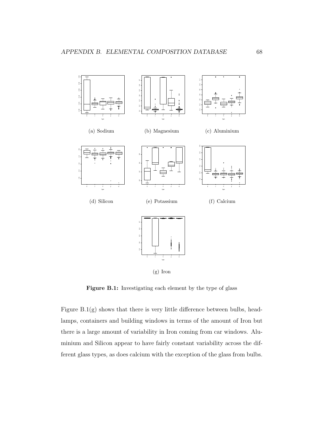

Figure B.1: Investigating each element by the type of glass

Figure  $B.1(g)$  shows that there is very little difference between bulbs, headlamps, containers and building windows in terms of the amount of Iron but there is a large amount of variability in Iron coming from car windows. Aluminium and Silicon appear to have fairly constant variability across the different glass types, as does calcium with the exception of the glass from bulbs.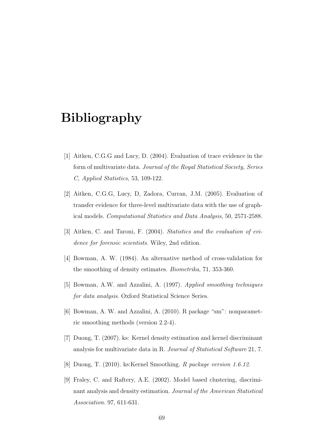## **Bibliography**

- [1] Aitken, C.G.G and Lucy, D. (2004). Evaluation of trace evidence in the form of multivariate data. *Journal of the Royal Statistical Society, Series C, Applied Statistics*, 53, 109-122.
- [2] Aitken, C.G.G, Lucy, D, Zadora, Curran, J.M. (2005). Evaluation of transfer evidence for three-level multivariate data with the use of graphical models. *Computational Statistics and Data Analysis*, 50, 2571-2588.
- [3] Aitken, C. and Taroni, F. (2004). *Statistics and the evaluation of evidence for forensic scientists*. Wiley, 2nd edition.
- [4] Bowman, A. W. (1984). An alternative method of cross-validation for the smoothing of density estimates. *Biometrika*, 71, 353-360.
- [5] Bowman, A.W. and Azzalini, A. (1997). *Applied smoothing techniques for data analysis*. Oxford Statistical Science Series.
- [6] Bowman, A. W. and Azzalini, A. (2010). R package "sm": nonparametric smoothing methods (version 2.2-4).
- [7] Duong, T. (2007). ks: Kernel density estimation and kernel discriminant analysis for multivariate data in R. *Journal of Statistical Software* 21, 7.
- [8] Duong, T. (2010). ks:Kernel Smoothing. *R package version 1.6.12*.
- [9] Fraley, C. and Raftery, A.E. (2002). Model based clustering, discriminant analysis and density estimation. *Journal of the American Statistical Association*. 97, 611-631.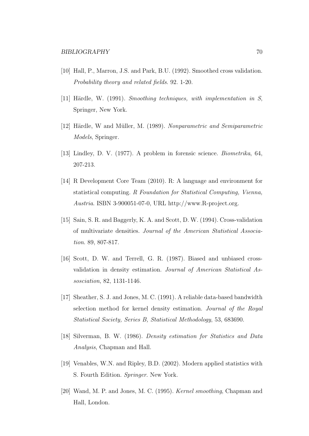- [10] Hall, P., Marron, J.S. and Park, B.U. (1992). Smoothed cross validation. *Probability theory and related fields*. 92. 1-20.
- [11] Härdle, W. (1991). *Smoothing techniques, with implementation in S*, Springer, New York.
- [12] H¨ardle, W and M¨uller, M. (1989). *Nonparametric and Semiparametric Models*, Springer.
- [13] Lindley, D. V. (1977). A problem in forensic science. *Biometrika*, 64, 207-213.
- [14] R Development Core Team (2010). R: A language and environment for statistical computing. *R Foundation for Statistical Computing, Vienna, Austria*. ISBN 3-900051-07-0, URL http://www.R-project.org.
- [15] Sain, S. R. and Baggerly, K. A. and Scott, D. W. (1994). Cross-validation of multivariate densities. *Journal of the American Statistical Association*. 89, 807-817.
- [16] Scott, D. W. and Terrell, G. R. (1987). Biased and unbiased crossvalidation in density estimation. *Journal of American Statistical Assosciation*, 82, 1131-1146.
- [17] Sheather, S. J. and Jones, M. C. (1991). A reliable data-based bandwidth selection method for kernel density estimation. *Journal of the Royal Statistical Society, Series B, Statistical Methodology*, 53, 683690.
- [18] Silverman, B. W. (1986). *Density estimation for Statistics and Data Analysis*, Chapman and Hall.
- [19] Venables, W.N. and Ripley, B.D. (2002). Modern applied statistics with S. Fourth Edition. *Springer*. New York.
- [20] Wand, M. P. and Jones, M. C. (1995). *Kernel smoothing*, Chapman and Hall, London.